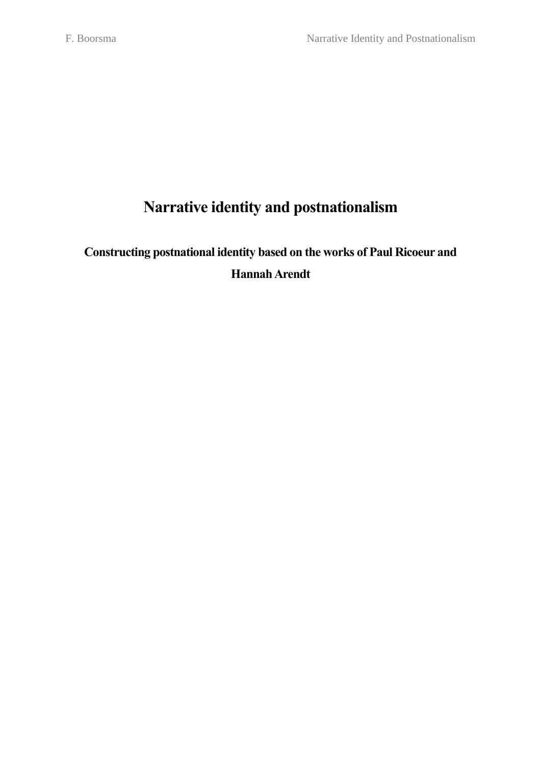# **Narrative identity and postnationalism**

# **Constructing postnational identity based on the works of Paul Ricoeur and Hannah Arendt**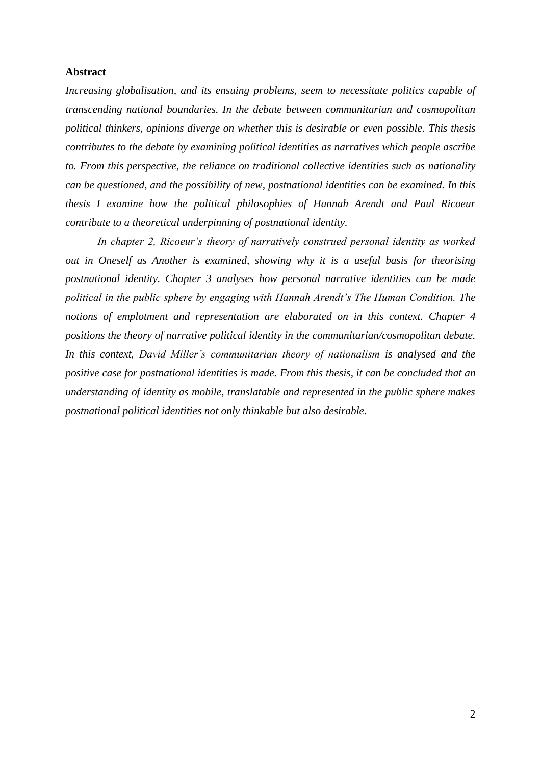# **Abstract**

*Increasing globalisation, and its ensuing problems, seem to necessitate politics capable of transcending national boundaries. In the debate between communitarian and cosmopolitan political thinkers, opinions diverge on whether this is desirable or even possible. This thesis contributes to the debate by examining political identities as narratives which people ascribe to. From this perspective, the reliance on traditional collective identities such as nationality can be questioned, and the possibility of new, postnational identities can be examined. In this thesis I examine how the political philosophies of Hannah Arendt and Paul Ricoeur contribute to a theoretical underpinning of postnational identity.*

*In chapter 2, Ricoeur's theory of narratively construed personal identity as worked out in Oneself as Another is examined, showing why it is a useful basis for theorising postnational identity. Chapter 3 analyses how personal narrative identities can be made political in the public sphere by engaging with Hannah Arendt's The Human Condition. The notions of emplotment and representation are elaborated on in this context. Chapter 4 positions the theory of narrative political identity in the communitarian/cosmopolitan debate. In this context, David Miller's communitarian theory of nationalism is analysed and the positive case for postnational identities is made. From this thesis, it can be concluded that an understanding of identity as mobile, translatable and represented in the public sphere makes postnational political identities not only thinkable but also desirable.*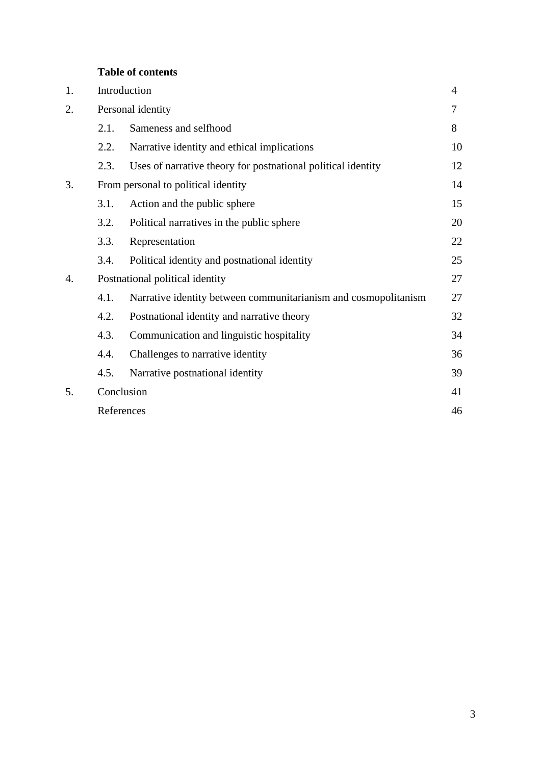# **Table of contents**

| 1. |                                     | Introduction                                                    |    |
|----|-------------------------------------|-----------------------------------------------------------------|----|
| 2. | Personal identity                   |                                                                 | 7  |
|    | 2.1.                                | Sameness and selfhood                                           | 8  |
|    | 2.2.                                | Narrative identity and ethical implications                     | 10 |
|    | 2.3.                                | Uses of narrative theory for postnational political identity    | 12 |
| 3. | From personal to political identity |                                                                 | 14 |
|    | 3.1.                                | Action and the public sphere                                    | 15 |
|    | 3.2.                                | Political narratives in the public sphere                       | 20 |
|    | 3.3.                                | Representation                                                  | 22 |
|    | 3.4.                                | Political identity and postnational identity                    | 25 |
| 4. | Postnational political identity     |                                                                 | 27 |
|    | 4.1.                                | Narrative identity between communitarianism and cosmopolitanism | 27 |
|    | 4.2.                                | Postnational identity and narrative theory                      | 32 |
|    | 4.3.                                | Communication and linguistic hospitality                        | 34 |
|    | 4.4.                                | Challenges to narrative identity                                | 36 |
|    | 4.5.                                | Narrative postnational identity                                 | 39 |
| 5. | Conclusion                          |                                                                 | 41 |
|    | References                          |                                                                 | 46 |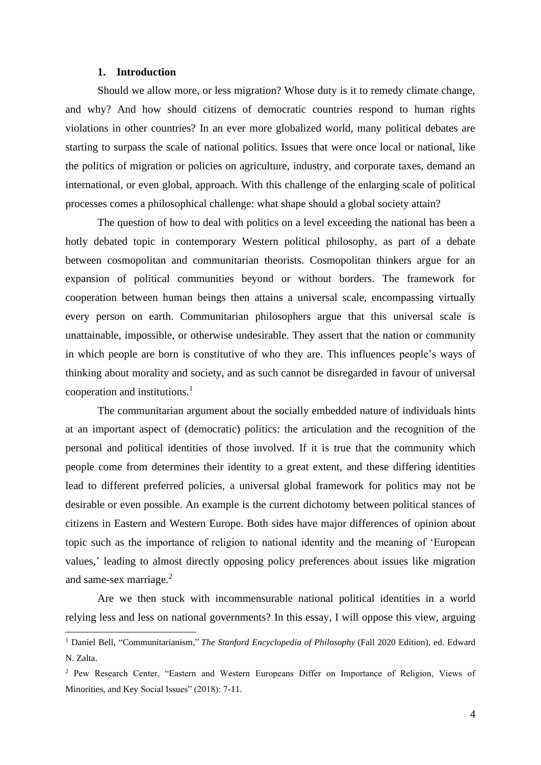### **1. Introduction**

Should we allow more, or less migration? Whose duty is it to remedy climate change, and why? And how should citizens of democratic countries respond to human rights violations in other countries? In an ever more globalized world, many political debates are starting to surpass the scale of national politics. Issues that were once local or national, like the politics of migration or policies on agriculture, industry, and corporate taxes, demand an international, or even global, approach. With this challenge of the enlarging scale of political processes comes a philosophical challenge: what shape should a global society attain?

The question of how to deal with politics on a level exceeding the national has been a hotly debated topic in contemporary Western political philosophy, as part of a debate between cosmopolitan and communitarian theorists. Cosmopolitan thinkers argue for an expansion of political communities beyond or without borders. The framework for cooperation between human beings then attains a universal scale, encompassing virtually every person on earth. Communitarian philosophers argue that this universal scale is unattainable, impossible, or otherwise undesirable. They assert that the nation or community in which people are born is constitutive of who they are. This influences people's ways of thinking about morality and society, and as such cannot be disregarded in favour of universal cooperation and institutions. $<sup>1</sup>$ </sup>

The communitarian argument about the socially embedded nature of individuals hints at an important aspect of (democratic) politics: the articulation and the recognition of the personal and political identities of those involved. If it is true that the community which people come from determines their identity to a great extent, and these differing identities lead to different preferred policies, a universal global framework for politics may not be desirable or even possible. An example is the current dichotomy between political stances of citizens in Eastern and Western Europe. Both sides have major differences of opinion about topic such as the importance of religion to national identity and the meaning of 'European values,' leading to almost directly opposing policy preferences about issues like migration and same-sex marriage.<sup>2</sup>

Are we then stuck with incommensurable national political identities in a world relying less and less on national governments? In this essay, I will oppose this view, arguing

<sup>&</sup>lt;sup>1</sup> Daniel Bell, "Communitarianism," *The Stanford Encyclopedia of Philosophy* (Fall 2020 Edition), ed. Edward N. Zalta.

<sup>2</sup> Pew Research Center, "Eastern and Western Europeans Differ on Importance of Religion, Views of Minorities, and Key Social Issues" (2018): 7-11.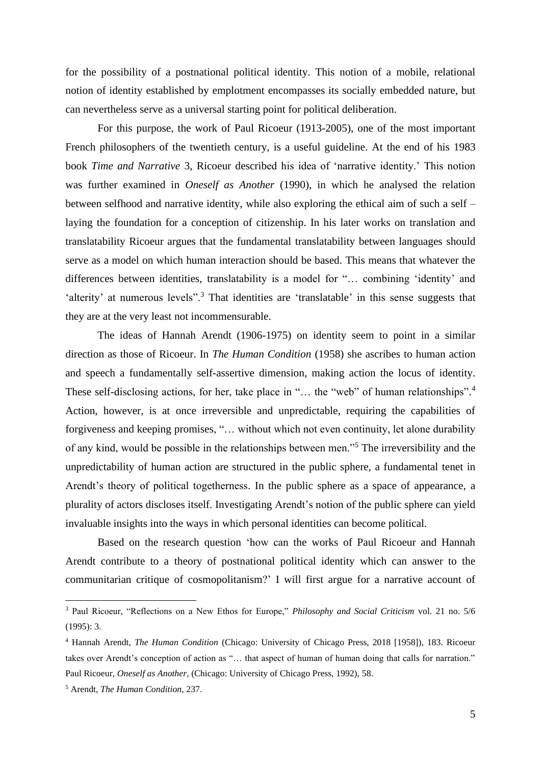for the possibility of a postnational political identity. This notion of a mobile, relational notion of identity established by emplotment encompasses its socially embedded nature, but can nevertheless serve as a universal starting point for political deliberation.

For this purpose, the work of Paul Ricoeur (1913-2005), one of the most important French philosophers of the twentieth century, is a useful guideline. At the end of his 1983 book *Time and Narrative* 3, Ricoeur described his idea of 'narrative identity.' This notion was further examined in *Oneself as Another* (1990), in which he analysed the relation between selfhood and narrative identity, while also exploring the ethical aim of such a self – laying the foundation for a conception of citizenship. In his later works on translation and translatability Ricoeur argues that the fundamental translatability between languages should serve as a model on which human interaction should be based. This means that whatever the differences between identities, translatability is a model for "… combining 'identity' and 'alterity' at numerous levels".<sup>3</sup> That identities are 'translatable' in this sense suggests that they are at the very least not incommensurable.

The ideas of Hannah Arendt (1906-1975) on identity seem to point in a similar direction as those of Ricoeur. In *The Human Condition* (1958) she ascribes to human action and speech a fundamentally self-assertive dimension, making action the locus of identity. These self-disclosing actions, for her, take place in "... the "web" of human relationships".<sup>4</sup> Action, however, is at once irreversible and unpredictable, requiring the capabilities of forgiveness and keeping promises, "… without which not even continuity, let alone durability of any kind, would be possible in the relationships between men."<sup>5</sup> The irreversibility and the unpredictability of human action are structured in the public sphere, a fundamental tenet in Arendt's theory of political togetherness. In the public sphere as a space of appearance, a plurality of actors discloses itself. Investigating Arendt's notion of the public sphere can yield invaluable insights into the ways in which personal identities can become political.

Based on the research question 'how can the works of Paul Ricoeur and Hannah Arendt contribute to a theory of postnational political identity which can answer to the communitarian critique of cosmopolitanism?' I will first argue for a narrative account of

<sup>3</sup> Paul Ricoeur, "Reflections on a New Ethos for Europe," *Philosophy and Social Criticism* vol. 21 no. 5/6  $(1995):$  3.

<sup>4</sup> Hannah Arendt, *The Human Condition* (Chicago: University of Chicago Press, 2018 [1958]), 183. Ricoeur takes over Arendt's conception of action as "… that aspect of human of human doing that calls for narration." Paul Ricoeur, *Oneself as Another*, (Chicago: University of Chicago Press, 1992), 58.

<sup>5</sup> Arendt, *The Human Condition*, 237.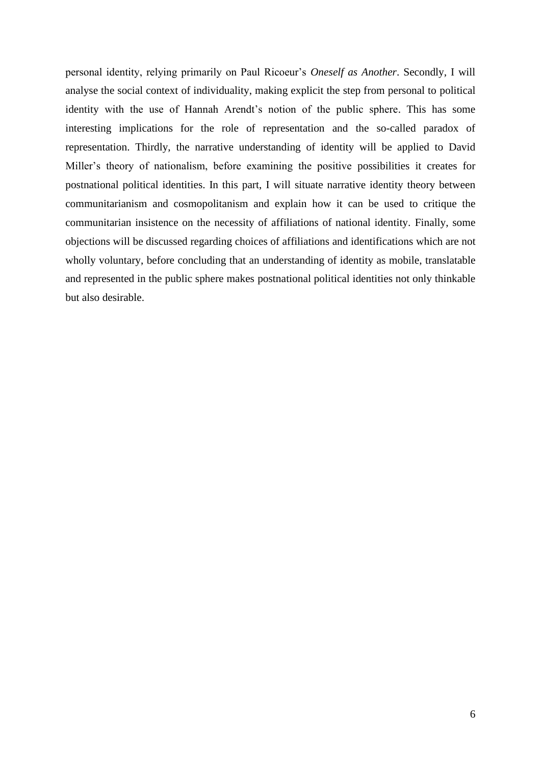personal identity, relying primarily on Paul Ricoeur's *Oneself as Another*. Secondly, I will analyse the social context of individuality, making explicit the step from personal to political identity with the use of Hannah Arendt's notion of the public sphere. This has some interesting implications for the role of representation and the so-called paradox of representation. Thirdly, the narrative understanding of identity will be applied to David Miller's theory of nationalism, before examining the positive possibilities it creates for postnational political identities. In this part, I will situate narrative identity theory between communitarianism and cosmopolitanism and explain how it can be used to critique the communitarian insistence on the necessity of affiliations of national identity. Finally, some objections will be discussed regarding choices of affiliations and identifications which are not wholly voluntary, before concluding that an understanding of identity as mobile, translatable and represented in the public sphere makes postnational political identities not only thinkable but also desirable.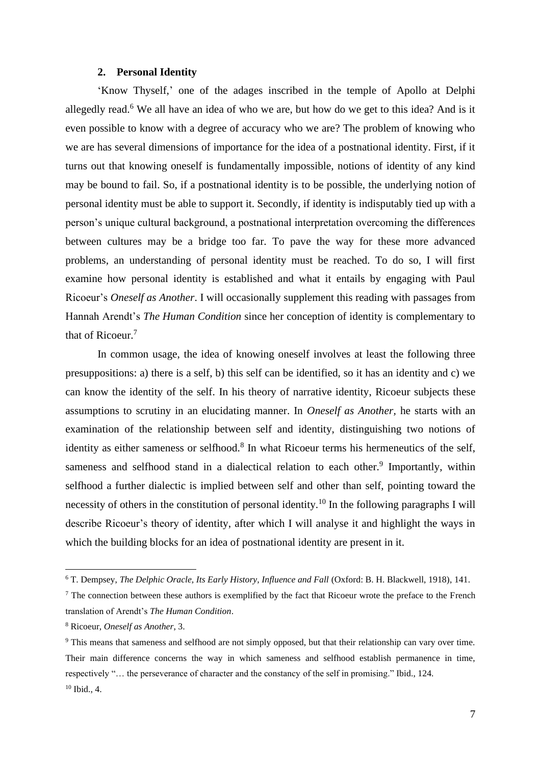#### **2. Personal Identity**

'Know Thyself,' one of the adages inscribed in the temple of Apollo at Delphi allegedly read.<sup>6</sup> We all have an idea of who we are, but how do we get to this idea? And is it even possible to know with a degree of accuracy who we are? The problem of knowing who we are has several dimensions of importance for the idea of a postnational identity. First, if it turns out that knowing oneself is fundamentally impossible, notions of identity of any kind may be bound to fail. So, if a postnational identity is to be possible, the underlying notion of personal identity must be able to support it. Secondly, if identity is indisputably tied up with a person's unique cultural background, a postnational interpretation overcoming the differences between cultures may be a bridge too far. To pave the way for these more advanced problems, an understanding of personal identity must be reached. To do so, I will first examine how personal identity is established and what it entails by engaging with Paul Ricoeur's *Oneself as Another*. I will occasionally supplement this reading with passages from Hannah Arendt's *The Human Condition* since her conception of identity is complementary to that of Ricoeur.<sup>7</sup>

In common usage, the idea of knowing oneself involves at least the following three presuppositions: a) there is a self, b) this self can be identified, so it has an identity and c) we can know the identity of the self. In his theory of narrative identity, Ricoeur subjects these assumptions to scrutiny in an elucidating manner. In *Oneself as Another,* he starts with an examination of the relationship between self and identity, distinguishing two notions of identity as either sameness or selfhood.<sup>8</sup> In what Ricoeur terms his hermeneutics of the self, sameness and selfhood stand in a dialectical relation to each other.<sup>9</sup> Importantly, within selfhood a further dialectic is implied between self and other than self, pointing toward the necessity of others in the constitution of personal identity.<sup>10</sup> In the following paragraphs I will describe Ricoeur's theory of identity, after which I will analyse it and highlight the ways in which the building blocks for an idea of postnational identity are present in it.

<sup>6</sup> T. Dempsey, *The Delphic Oracle, Its Early History, Influence and Fall* (Oxford: B. H. Blackwell, 1918), 141.

<sup>&</sup>lt;sup>7</sup> The connection between these authors is exemplified by the fact that Ricoeur wrote the preface to the French translation of Arendt's *The Human Condition*.

<sup>8</sup> Ricoeur, *Oneself as Another*, 3.

<sup>&</sup>lt;sup>9</sup> This means that sameness and selfhood are not simply opposed, but that their relationship can vary over time. Their main difference concerns the way in which sameness and selfhood establish permanence in time, respectively "… the perseverance of character and the constancy of the self in promising." Ibid., 124. <sup>10</sup> Ibid., 4.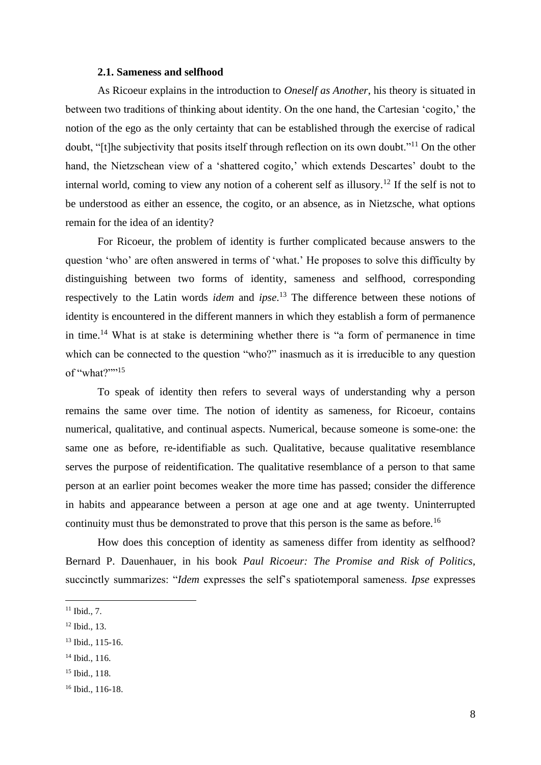#### **2.1. Sameness and selfhood**

As Ricoeur explains in the introduction to *Oneself as Another*, his theory is situated in between two traditions of thinking about identity. On the one hand, the Cartesian 'cogito,' the notion of the ego as the only certainty that can be established through the exercise of radical doubt, "[t]he subjectivity that posits itself through reflection on its own doubt."<sup>11</sup> On the other hand, the Nietzschean view of a 'shattered cogito,' which extends Descartes' doubt to the internal world, coming to view any notion of a coherent self as illusory.<sup>12</sup> If the self is not to be understood as either an essence, the cogito, or an absence, as in Nietzsche, what options remain for the idea of an identity?

For Ricoeur, the problem of identity is further complicated because answers to the question 'who' are often answered in terms of 'what.' He proposes to solve this difficulty by distinguishing between two forms of identity, sameness and selfhood, corresponding respectively to the Latin words *idem* and *ipse*. <sup>13</sup> The difference between these notions of identity is encountered in the different manners in which they establish a form of permanence in time.<sup>14</sup> What is at stake is determining whether there is "a form of permanence in time which can be connected to the question "who?" inasmuch as it is irreducible to any question of "what?""<sup>15</sup>

To speak of identity then refers to several ways of understanding why a person remains the same over time*.* The notion of identity as sameness, for Ricoeur*,* contains numerical, qualitative, and continual aspects. Numerical, because someone is some-one: the same one as before, re-identifiable as such. Qualitative, because qualitative resemblance serves the purpose of reidentification. The qualitative resemblance of a person to that same person at an earlier point becomes weaker the more time has passed; consider the difference in habits and appearance between a person at age one and at age twenty. Uninterrupted continuity must thus be demonstrated to prove that this person is the same as before.<sup>16</sup>

How does this conception of identity as sameness differ from identity as selfhood? Bernard P. Dauenhauer, in his book *Paul Ricoeur: The Promise and Risk of Politics*, succinctly summarizes: "*Idem* expresses the self's spatiotemporal sameness. *Ipse* expresses

 $11$  Ibid., 7.

<sup>12</sup> Ibid., 13.

<sup>13</sup> Ibid., 115-16.

<sup>14</sup> Ibid., 116.

<sup>15</sup> Ibid., 118.

<sup>16</sup> Ibid., 116-18.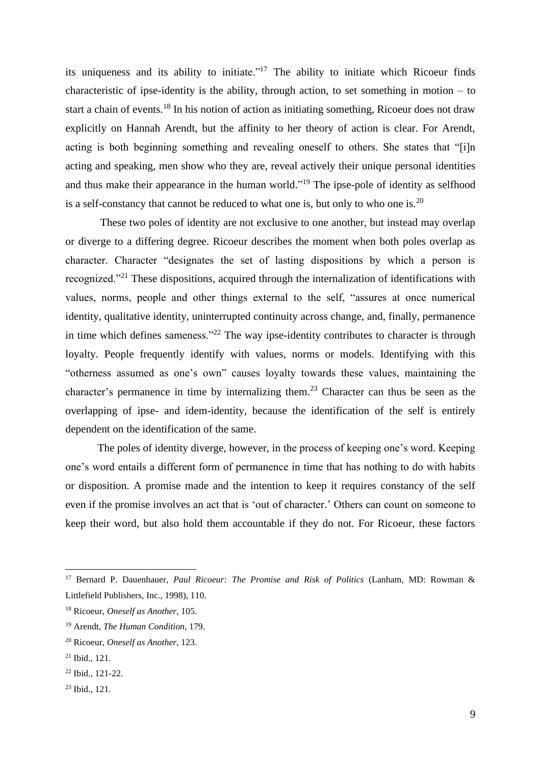its uniqueness and its ability to initiate."<sup>17</sup> The ability to initiate which Ricoeur finds characteristic of ipse-identity is the ability, through action, to set something in motion – to start a chain of events.<sup>18</sup> In his notion of action as initiating something, Ricoeur does not draw explicitly on Hannah Arendt, but the affinity to her theory of action is clear. For Arendt, acting is both beginning something and revealing oneself to others. She states that "[i]n acting and speaking, men show who they are, reveal actively their unique personal identities and thus make their appearance in the human world."<sup>19</sup> The ipse-pole of identity as selfhood is a self-constancy that cannot be reduced to what one is, but only to who one is.<sup>20</sup>

These two poles of identity are not exclusive to one another, but instead may overlap or diverge to a differing degree. Ricoeur describes the moment when both poles overlap as character. Character "designates the set of lasting dispositions by which a person is recognized."<sup>21</sup> These dispositions, acquired through the internalization of identifications with values, norms, people and other things external to the self, "assures at once numerical identity, qualitative identity, uninterrupted continuity across change, and, finally, permanence in time which defines sameness."<sup>22</sup> The way ipse-identity contributes to character is through loyalty. People frequently identify with values, norms or models. Identifying with this "otherness assumed as one's own" causes loyalty towards these values, maintaining the character's permanence in time by internalizing them.<sup>23</sup> Character can thus be seen as the overlapping of ipse- and idem-identity, because the identification of the self is entirely dependent on the identification of the same.

The poles of identity diverge, however, in the process of keeping one's word. Keeping one's word entails a different form of permanence in time that has nothing to do with habits or disposition. A promise made and the intention to keep it requires constancy of the self even if the promise involves an act that is 'out of character.' Others can count on someone to keep their word, but also hold them accountable if they do not. For Ricoeur, these factors

<sup>17</sup> Bernard P. Dauenhauer, *Paul Ricoeur: The Promise and Risk of Politics* (Lanham, MD: Rowman & Littlefield Publishers, Inc., 1998), 110.

<sup>18</sup> Ricoeur, *Oneself as Another*, 105.

<sup>19</sup> Arendt, *The Human Condition*, 179.

<sup>20</sup> Ricoeur, *Oneself as Another*, 123.

<sup>21</sup> Ibid., 121.

<sup>22</sup> Ibid., 121-22.

<sup>23</sup> Ibid., 121.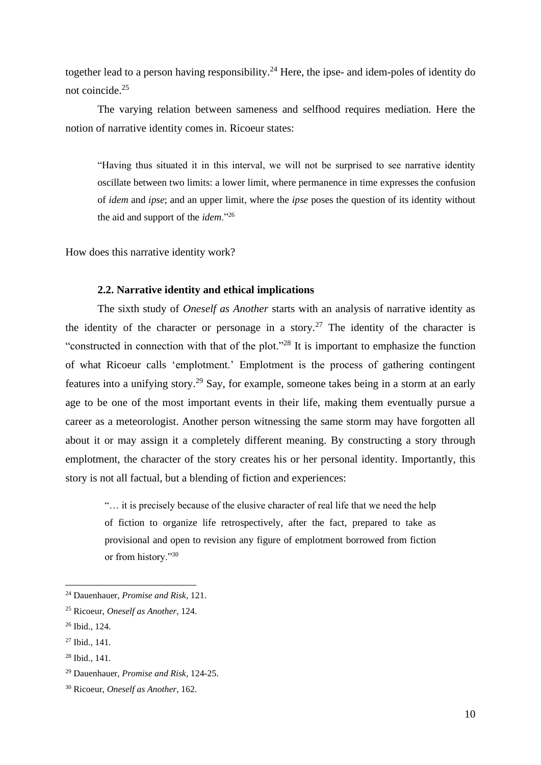together lead to a person having responsibility.<sup>24</sup> Here, the ipse- and idem-poles of identity do not coincide.<sup>25</sup>

The varying relation between sameness and selfhood requires mediation. Here the notion of narrative identity comes in. Ricoeur states:

"Having thus situated it in this interval, we will not be surprised to see narrative identity oscillate between two limits: a lower limit, where permanence in time expresses the confusion of *idem* and *ipse*; and an upper limit, where the *ipse* poses the question of its identity without the aid and support of the *idem*."<sup>26</sup>

How does this narrative identity work?

### **2.2. Narrative identity and ethical implications**

The sixth study of *Oneself as Another* starts with an analysis of narrative identity as the identity of the character or personage in a story.<sup>27</sup> The identity of the character is "constructed in connection with that of the plot."<sup>28</sup> It is important to emphasize the function of what Ricoeur calls 'emplotment.' Emplotment is the process of gathering contingent features into a unifying story.<sup>29</sup> Say, for example, someone takes being in a storm at an early age to be one of the most important events in their life, making them eventually pursue a career as a meteorologist. Another person witnessing the same storm may have forgotten all about it or may assign it a completely different meaning. By constructing a story through emplotment, the character of the story creates his or her personal identity. Importantly, this story is not all factual, but a blending of fiction and experiences:

"… it is precisely because of the elusive character of real life that we need the help of fiction to organize life retrospectively, after the fact, prepared to take as provisional and open to revision any figure of emplotment borrowed from fiction or from history."<sup>30</sup>

<sup>24</sup> Dauenhauer, *Promise and Risk*, 121.

<sup>25</sup> Ricoeur, *Oneself as Another*, 124.

<sup>26</sup> Ibid., 124.

<sup>27</sup> Ibid., 141.

<sup>28</sup> Ibid., 141.

<sup>29</sup> Dauenhauer, *Promise and Risk*, 124-25.

<sup>30</sup> Ricoeur, *Oneself as Another*, 162.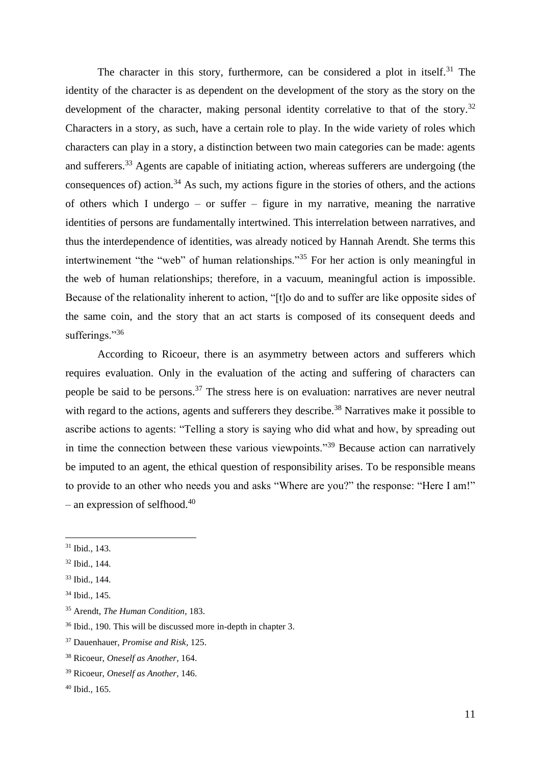The character in this story, furthermore, can be considered a plot in itself.<sup>31</sup> The identity of the character is as dependent on the development of the story as the story on the development of the character, making personal identity correlative to that of the story.<sup>32</sup> Characters in a story, as such, have a certain role to play. In the wide variety of roles which characters can play in a story, a distinction between two main categories can be made: agents and sufferers.<sup>33</sup> Agents are capable of initiating action, whereas sufferers are undergoing (the consequences of) action.<sup>34</sup> As such, my actions figure in the stories of others, and the actions of others which I undergo – or suffer – figure in my narrative, meaning the narrative identities of persons are fundamentally intertwined. This interrelation between narratives, and thus the interdependence of identities, was already noticed by Hannah Arendt. She terms this intertwinement "the "web" of human relationships."<sup>35</sup> For her action is only meaningful in the web of human relationships; therefore, in a vacuum, meaningful action is impossible. Because of the relationality inherent to action, "[t]o do and to suffer are like opposite sides of the same coin, and the story that an act starts is composed of its consequent deeds and sufferings."36

According to Ricoeur, there is an asymmetry between actors and sufferers which requires evaluation. Only in the evaluation of the acting and suffering of characters can people be said to be persons.<sup>37</sup> The stress here is on evaluation: narratives are never neutral with regard to the actions, agents and sufferers they describe.<sup>38</sup> Narratives make it possible to ascribe actions to agents: "Telling a story is saying who did what and how, by spreading out in time the connection between these various viewpoints."<sup>39</sup> Because action can narratively be imputed to an agent, the ethical question of responsibility arises. To be responsible means to provide to an other who needs you and asks "Where are you?" the response: "Here I am!" – an expression of selfhood. $40$ 

<sup>31</sup> Ibid., 143.

<sup>32</sup> Ibid., 144.

<sup>33</sup> Ibid., 144.

<sup>34</sup> Ibid., 145.

<sup>35</sup> Arendt, *The Human Condition*, 183.

<sup>36</sup> Ibid., 190. This will be discussed more in-depth in chapter 3.

<sup>37</sup> Dauenhauer, *Promise and Risk*, 125.

<sup>38</sup> Ricoeur, *Oneself as Another,* 164.

<sup>39</sup> Ricoeur, *Oneself as Another*, 146.

<sup>40</sup> Ibid., 165.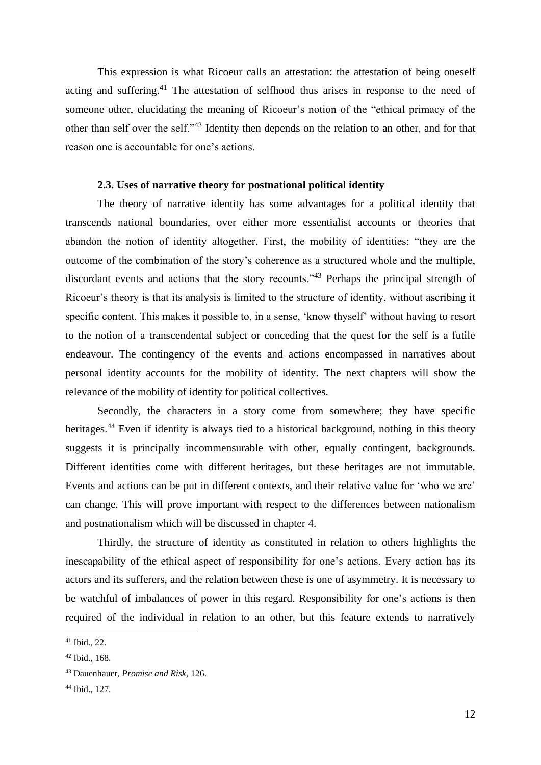This expression is what Ricoeur calls an attestation: the attestation of being oneself acting and suffering.<sup>41</sup> The attestation of selfhood thus arises in response to the need of someone other, elucidating the meaning of Ricoeur's notion of the "ethical primacy of the other than self over the self."<sup>42</sup> Identity then depends on the relation to an other, and for that reason one is accountable for one's actions.

# **2.3. Uses of narrative theory for postnational political identity**

The theory of narrative identity has some advantages for a political identity that transcends national boundaries, over either more essentialist accounts or theories that abandon the notion of identity altogether. First, the mobility of identities: "they are the outcome of the combination of the story's coherence as a structured whole and the multiple, discordant events and actions that the story recounts."<sup>43</sup> Perhaps the principal strength of Ricoeur's theory is that its analysis is limited to the structure of identity, without ascribing it specific content. This makes it possible to, in a sense, 'know thyself' without having to resort to the notion of a transcendental subject or conceding that the quest for the self is a futile endeavour. The contingency of the events and actions encompassed in narratives about personal identity accounts for the mobility of identity. The next chapters will show the relevance of the mobility of identity for political collectives.

Secondly, the characters in a story come from somewhere; they have specific heritages.<sup>44</sup> Even if identity is always tied to a historical background, nothing in this theory suggests it is principally incommensurable with other, equally contingent, backgrounds. Different identities come with different heritages, but these heritages are not immutable. Events and actions can be put in different contexts, and their relative value for 'who we are' can change. This will prove important with respect to the differences between nationalism and postnationalism which will be discussed in chapter 4.

Thirdly, the structure of identity as constituted in relation to others highlights the inescapability of the ethical aspect of responsibility for one's actions. Every action has its actors and its sufferers, and the relation between these is one of asymmetry. It is necessary to be watchful of imbalances of power in this regard. Responsibility for one's actions is then required of the individual in relation to an other, but this feature extends to narratively

<sup>41</sup> Ibid., 22.

<sup>42</sup> Ibid., 168.

<sup>43</sup> Dauenhauer, *Promise and Risk*, 126.

<sup>44</sup> Ibid., 127.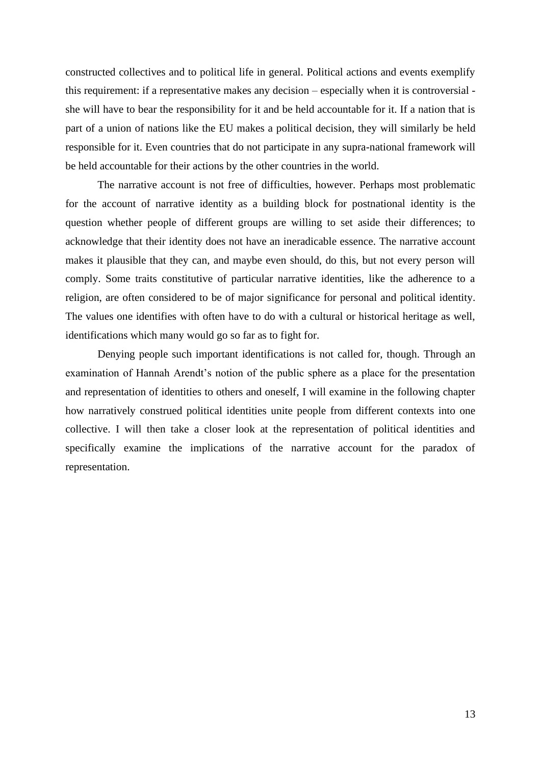constructed collectives and to political life in general. Political actions and events exemplify this requirement: if a representative makes any decision – especially when it is controversial she will have to bear the responsibility for it and be held accountable for it. If a nation that is part of a union of nations like the EU makes a political decision, they will similarly be held responsible for it. Even countries that do not participate in any supra-national framework will be held accountable for their actions by the other countries in the world.

The narrative account is not free of difficulties, however. Perhaps most problematic for the account of narrative identity as a building block for postnational identity is the question whether people of different groups are willing to set aside their differences; to acknowledge that their identity does not have an ineradicable essence. The narrative account makes it plausible that they can, and maybe even should, do this, but not every person will comply. Some traits constitutive of particular narrative identities, like the adherence to a religion, are often considered to be of major significance for personal and political identity. The values one identifies with often have to do with a cultural or historical heritage as well, identifications which many would go so far as to fight for.

Denying people such important identifications is not called for, though. Through an examination of Hannah Arendt's notion of the public sphere as a place for the presentation and representation of identities to others and oneself, I will examine in the following chapter how narratively construed political identities unite people from different contexts into one collective. I will then take a closer look at the representation of political identities and specifically examine the implications of the narrative account for the paradox of representation.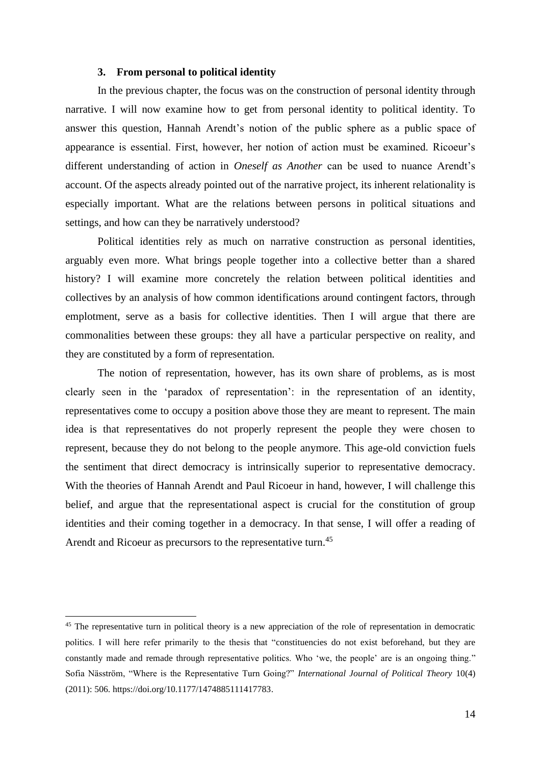# **3. From personal to political identity**

In the previous chapter, the focus was on the construction of personal identity through narrative. I will now examine how to get from personal identity to political identity. To answer this question, Hannah Arendt's notion of the public sphere as a public space of appearance is essential. First, however, her notion of action must be examined. Ricoeur's different understanding of action in *Oneself as Another* can be used to nuance Arendt's account. Of the aspects already pointed out of the narrative project, its inherent relationality is especially important. What are the relations between persons in political situations and settings, and how can they be narratively understood?

Political identities rely as much on narrative construction as personal identities, arguably even more. What brings people together into a collective better than a shared history? I will examine more concretely the relation between political identities and collectives by an analysis of how common identifications around contingent factors, through emplotment, serve as a basis for collective identities. Then I will argue that there are commonalities between these groups: they all have a particular perspective on reality, and they are constituted by a form of representation*.*

The notion of representation, however, has its own share of problems, as is most clearly seen in the 'paradox of representation': in the representation of an identity, representatives come to occupy a position above those they are meant to represent. The main idea is that representatives do not properly represent the people they were chosen to represent, because they do not belong to the people anymore. This age-old conviction fuels the sentiment that direct democracy is intrinsically superior to representative democracy. With the theories of Hannah Arendt and Paul Ricoeur in hand, however, I will challenge this belief, and argue that the representational aspect is crucial for the constitution of group identities and their coming together in a democracy. In that sense, I will offer a reading of Arendt and Ricoeur as precursors to the representative turn.<sup>45</sup>

<sup>&</sup>lt;sup>45</sup> The representative turn in political theory is a new appreciation of the role of representation in democratic politics. I will here refer primarily to the thesis that "constituencies do not exist beforehand, but they are constantly made and remade through representative politics. Who 'we, the people' are is an ongoing thing." Sofia Näsström, "Where is the Representative Turn Going?" *International Journal of Political Theory* 10(4) (2011): 506. https://doi.org/10.1177/1474885111417783.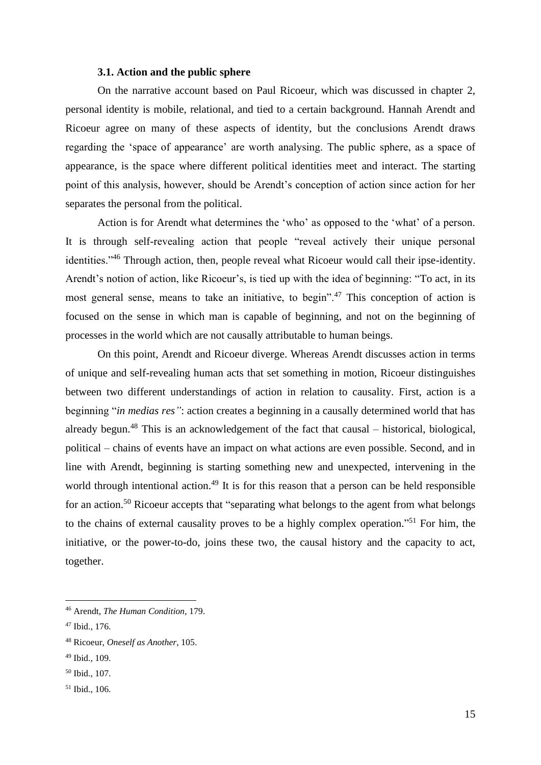#### **3.1. Action and the public sphere**

On the narrative account based on Paul Ricoeur, which was discussed in chapter 2, personal identity is mobile, relational, and tied to a certain background. Hannah Arendt and Ricoeur agree on many of these aspects of identity, but the conclusions Arendt draws regarding the 'space of appearance' are worth analysing. The public sphere, as a space of appearance, is the space where different political identities meet and interact. The starting point of this analysis, however, should be Arendt's conception of action since action for her separates the personal from the political.

Action is for Arendt what determines the 'who' as opposed to the 'what' of a person. It is through self-revealing action that people "reveal actively their unique personal identities."<sup>46</sup> Through action, then, people reveal what Ricoeur would call their ipse-identity. Arendt's notion of action, like Ricoeur's, is tied up with the idea of beginning: "To act, in its most general sense, means to take an initiative, to begin".<sup>47</sup> This conception of action is focused on the sense in which man is capable of beginning, and not on the beginning of processes in the world which are not causally attributable to human beings.

On this point, Arendt and Ricoeur diverge. Whereas Arendt discusses action in terms of unique and self-revealing human acts that set something in motion, Ricoeur distinguishes between two different understandings of action in relation to causality. First, action is a beginning "*in medias res"*: action creates a beginning in a causally determined world that has already begun.<sup>48</sup> This is an acknowledgement of the fact that causal – historical, biological, political – chains of events have an impact on what actions are even possible. Second, and in line with Arendt, beginning is starting something new and unexpected, intervening in the world through intentional action.<sup>49</sup> It is for this reason that a person can be held responsible for an action.<sup>50</sup> Ricoeur accepts that "separating what belongs to the agent from what belongs to the chains of external causality proves to be a highly complex operation."<sup>51</sup> For him, the initiative, or the power-to-do, joins these two, the causal history and the capacity to act, together.

<sup>46</sup> Arendt, *The Human Condition*, 179.

<sup>47</sup> Ibid., 176.

<sup>48</sup> Ricoeur, *Oneself as Another*, 105.

<sup>49</sup> Ibid., 109.

<sup>50</sup> Ibid., 107.

<sup>51</sup> Ibid., 106.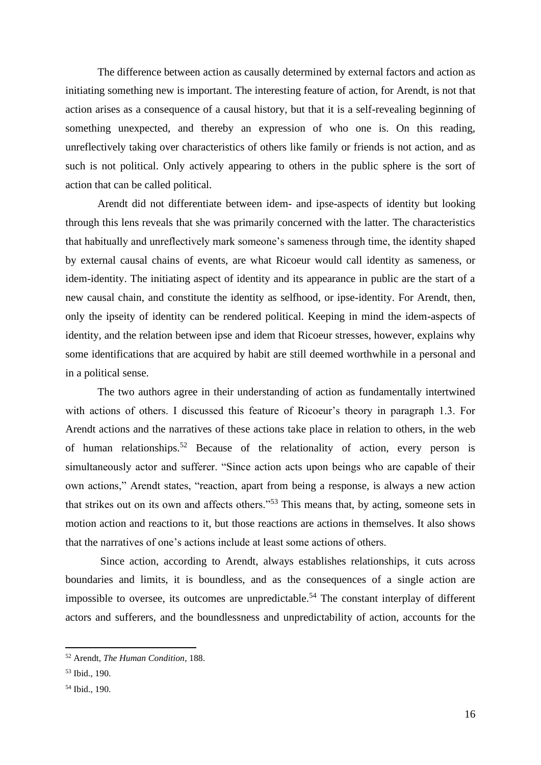The difference between action as causally determined by external factors and action as initiating something new is important. The interesting feature of action, for Arendt, is not that action arises as a consequence of a causal history, but that it is a self-revealing beginning of something unexpected, and thereby an expression of who one is. On this reading, unreflectively taking over characteristics of others like family or friends is not action, and as such is not political. Only actively appearing to others in the public sphere is the sort of action that can be called political.

Arendt did not differentiate between idem- and ipse-aspects of identity but looking through this lens reveals that she was primarily concerned with the latter. The characteristics that habitually and unreflectively mark someone's sameness through time, the identity shaped by external causal chains of events, are what Ricoeur would call identity as sameness, or idem-identity. The initiating aspect of identity and its appearance in public are the start of a new causal chain, and constitute the identity as selfhood, or ipse-identity. For Arendt, then, only the ipseity of identity can be rendered political. Keeping in mind the idem-aspects of identity, and the relation between ipse and idem that Ricoeur stresses, however, explains why some identifications that are acquired by habit are still deemed worthwhile in a personal and in a political sense.

The two authors agree in their understanding of action as fundamentally intertwined with actions of others. I discussed this feature of Ricoeur's theory in paragraph 1.3. For Arendt actions and the narratives of these actions take place in relation to others, in the web of human relationships.<sup>52</sup> Because of the relationality of action, every person is simultaneously actor and sufferer. "Since action acts upon beings who are capable of their own actions," Arendt states, "reaction, apart from being a response, is always a new action that strikes out on its own and affects others."<sup>53</sup> This means that, by acting, someone sets in motion action and reactions to it, but those reactions are actions in themselves. It also shows that the narratives of one's actions include at least some actions of others.

Since action, according to Arendt, always establishes relationships, it cuts across boundaries and limits, it is boundless, and as the consequences of a single action are impossible to oversee, its outcomes are unpredictable.<sup>54</sup> The constant interplay of different actors and sufferers, and the boundlessness and unpredictability of action, accounts for the

<sup>52</sup> Arendt, *The Human Condition*, 188.

<sup>53</sup> Ibid., 190.

<sup>54</sup> Ibid., 190.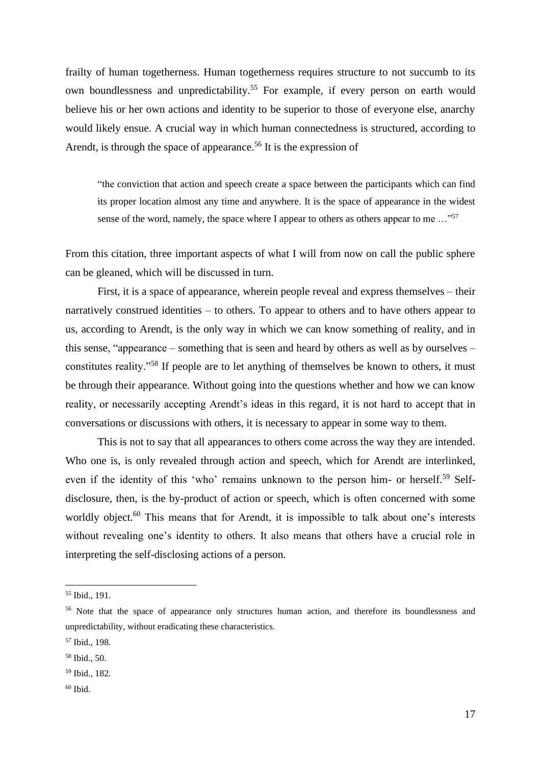frailty of human togetherness. Human togetherness requires structure to not succumb to its own boundlessness and unpredictability.<sup>55</sup> For example, if every person on earth would believe his or her own actions and identity to be superior to those of everyone else, anarchy would likely ensue. A crucial way in which human connectedness is structured, according to Arendt, is through the space of appearance.<sup>56</sup> It is the expression of

"the conviction that action and speech create a space between the participants which can find its proper location almost any time and anywhere. It is the space of appearance in the widest sense of the word, namely, the space where I appear to others as others appear to me ..."<sup>57</sup>

From this citation, three important aspects of what I will from now on call the public sphere can be gleaned, which will be discussed in turn.

First, it is a space of appearance, wherein people reveal and express themselves – their narratively construed identities – to others. To appear to others and to have others appear to us, according to Arendt, is the only way in which we can know something of reality, and in this sense, "appearance – something that is seen and heard by others as well as by ourselves – constitutes reality."<sup>58</sup> If people are to let anything of themselves be known to others, it must be through their appearance. Without going into the questions whether and how we can know reality, or necessarily accepting Arendt's ideas in this regard, it is not hard to accept that in conversations or discussions with others, it is necessary to appear in some way to them.

This is not to say that all appearances to others come across the way they are intended. Who one is, is only revealed through action and speech, which for Arendt are interlinked, even if the identity of this 'who' remains unknown to the person him- or herself.<sup>59</sup> Selfdisclosure, then, is the by-product of action or speech, which is often concerned with some worldly object.<sup>60</sup> This means that for Arendt, it is impossible to talk about one's interests without revealing one's identity to others. It also means that others have a crucial role in interpreting the self-disclosing actions of a person.

<sup>55</sup> Ibid., 191.

<sup>&</sup>lt;sup>56</sup> Note that the space of appearance only structures human action, and therefore its boundlessness and unpredictability, without eradicating these characteristics.

<sup>57</sup> Ibid., 198.

<sup>58</sup> Ibid., 50.

<sup>59</sup> Ibid., 182.

 $60$  Ibid.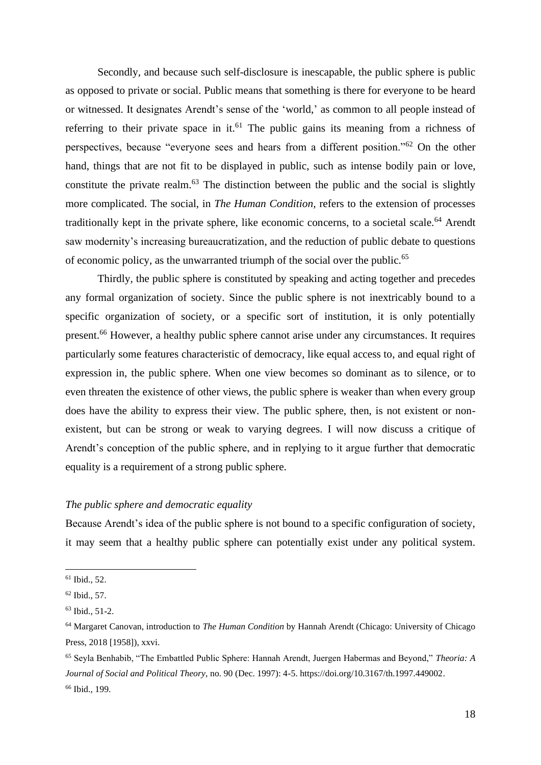Secondly, and because such self-disclosure is inescapable, the public sphere is public as opposed to private or social. Public means that something is there for everyone to be heard or witnessed. It designates Arendt's sense of the 'world,' as common to all people instead of referring to their private space in it.<sup>61</sup> The public gains its meaning from a richness of perspectives, because "everyone sees and hears from a different position."<sup>62</sup> On the other hand, things that are not fit to be displayed in public, such as intense bodily pain or love, constitute the private realm. $63$  The distinction between the public and the social is slightly more complicated. The social, in *The Human Condition,* refers to the extension of processes traditionally kept in the private sphere, like economic concerns, to a societal scale.<sup>64</sup> Arendt saw modernity's increasing bureaucratization, and the reduction of public debate to questions of economic policy, as the unwarranted triumph of the social over the public.<sup>65</sup>

Thirdly, the public sphere is constituted by speaking and acting together and precedes any formal organization of society. Since the public sphere is not inextricably bound to a specific organization of society, or a specific sort of institution, it is only potentially present.<sup>66</sup> However, a healthy public sphere cannot arise under any circumstances. It requires particularly some features characteristic of democracy, like equal access to, and equal right of expression in, the public sphere. When one view becomes so dominant as to silence, or to even threaten the existence of other views, the public sphere is weaker than when every group does have the ability to express their view. The public sphere, then, is not existent or nonexistent, but can be strong or weak to varying degrees. I will now discuss a critique of Arendt's conception of the public sphere, and in replying to it argue further that democratic equality is a requirement of a strong public sphere.

# *The public sphere and democratic equality*

Because Arendt's idea of the public sphere is not bound to a specific configuration of society, it may seem that a healthy public sphere can potentially exist under any political system.

<sup>61</sup> Ibid., 52.

<sup>62</sup> Ibid., 57.

<sup>63</sup> Ibid., 51-2.

<sup>64</sup> Margaret Canovan, introduction to *The Human Condition* by Hannah Arendt (Chicago: University of Chicago Press, 2018 [1958]), xxvi.

<sup>65</sup> Seyla Benhabib, "The Embattled Public Sphere: Hannah Arendt, Juergen Habermas and Beyond," *Theoria: A Journal of Social and Political Theory*, no. 90 (Dec. 1997): 4-5. https://doi.org/10.3167/th.1997.449002. <sup>66</sup> Ibid., 199.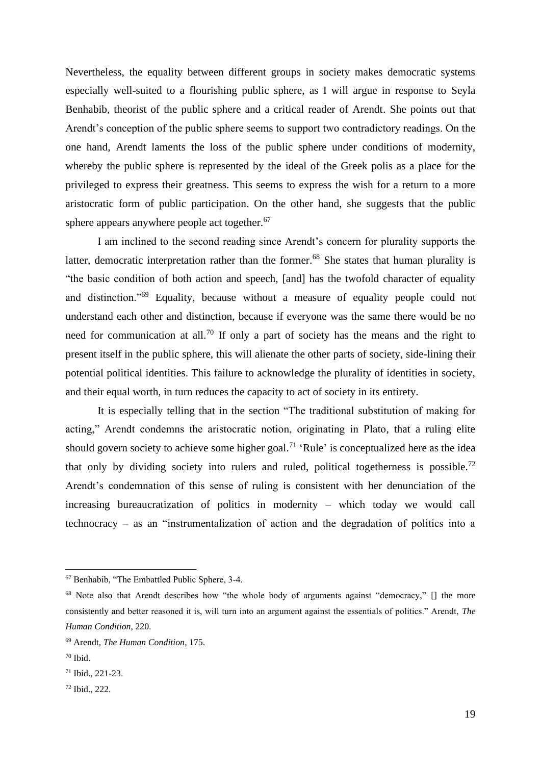Nevertheless, the equality between different groups in society makes democratic systems especially well-suited to a flourishing public sphere, as I will argue in response to Seyla Benhabib, theorist of the public sphere and a critical reader of Arendt. She points out that Arendt's conception of the public sphere seems to support two contradictory readings. On the one hand, Arendt laments the loss of the public sphere under conditions of modernity, whereby the public sphere is represented by the ideal of the Greek polis as a place for the privileged to express their greatness. This seems to express the wish for a return to a more aristocratic form of public participation. On the other hand, she suggests that the public sphere appears anywhere people act together.<sup>67</sup>

I am inclined to the second reading since Arendt's concern for plurality supports the latter, democratic interpretation rather than the former.<sup>68</sup> She states that human plurality is "the basic condition of both action and speech, [and] has the twofold character of equality and distinction."<sup>69</sup> Equality, because without a measure of equality people could not understand each other and distinction, because if everyone was the same there would be no need for communication at all.<sup>70</sup> If only a part of society has the means and the right to present itself in the public sphere, this will alienate the other parts of society, side-lining their potential political identities. This failure to acknowledge the plurality of identities in society, and their equal worth, in turn reduces the capacity to act of society in its entirety.

It is especially telling that in the section "The traditional substitution of making for acting," Arendt condemns the aristocratic notion, originating in Plato, that a ruling elite should govern society to achieve some higher goal.<sup>71</sup> 'Rule' is conceptualized here as the idea that only by dividing society into rulers and ruled, political togetherness is possible.<sup>72</sup> Arendt's condemnation of this sense of ruling is consistent with her denunciation of the increasing bureaucratization of politics in modernity – which today we would call technocracy – as an "instrumentalization of action and the degradation of politics into a

<sup>67</sup> Benhabib, "The Embattled Public Sphere, 3-4.

<sup>&</sup>lt;sup>68</sup> Note also that Arendt describes how "the whole body of arguments against "democracy," [] the more consistently and better reasoned it is, will turn into an argument against the essentials of politics." Arendt, *The Human Condition*, 220.

<sup>69</sup> Arendt, *The Human Condition*, 175.

<sup>70</sup> Ibid.

<sup>71</sup> Ibid., 221-23.

<sup>72</sup> Ibid., 222.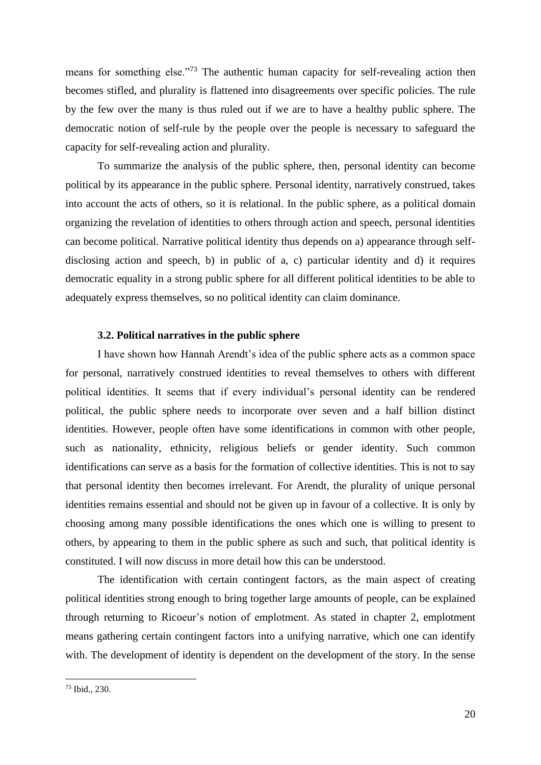means for something else."<sup>73</sup> The authentic human capacity for self-revealing action then becomes stifled, and plurality is flattened into disagreements over specific policies. The rule by the few over the many is thus ruled out if we are to have a healthy public sphere. The democratic notion of self-rule by the people over the people is necessary to safeguard the capacity for self-revealing action and plurality.

To summarize the analysis of the public sphere, then, personal identity can become political by its appearance in the public sphere. Personal identity, narratively construed, takes into account the acts of others, so it is relational. In the public sphere, as a political domain organizing the revelation of identities to others through action and speech, personal identities can become political. Narrative political identity thus depends on a) appearance through selfdisclosing action and speech, b) in public of a, c) particular identity and d) it requires democratic equality in a strong public sphere for all different political identities to be able to adequately express themselves, so no political identity can claim dominance.

# **3.2. Political narratives in the public sphere**

I have shown how Hannah Arendt's idea of the public sphere acts as a common space for personal, narratively construed identities to reveal themselves to others with different political identities. It seems that if every individual's personal identity can be rendered political, the public sphere needs to incorporate over seven and a half billion distinct identities. However, people often have some identifications in common with other people, such as nationality, ethnicity, religious beliefs or gender identity. Such common identifications can serve as a basis for the formation of collective identities. This is not to say that personal identity then becomes irrelevant. For Arendt, the plurality of unique personal identities remains essential and should not be given up in favour of a collective. It is only by choosing among many possible identifications the ones which one is willing to present to others, by appearing to them in the public sphere as such and such, that political identity is constituted. I will now discuss in more detail how this can be understood.

The identification with certain contingent factors, as the main aspect of creating political identities strong enough to bring together large amounts of people, can be explained through returning to Ricoeur's notion of emplotment. As stated in chapter 2, emplotment means gathering certain contingent factors into a unifying narrative, which one can identify with. The development of identity is dependent on the development of the story. In the sense

<sup>73</sup> Ibid., 230.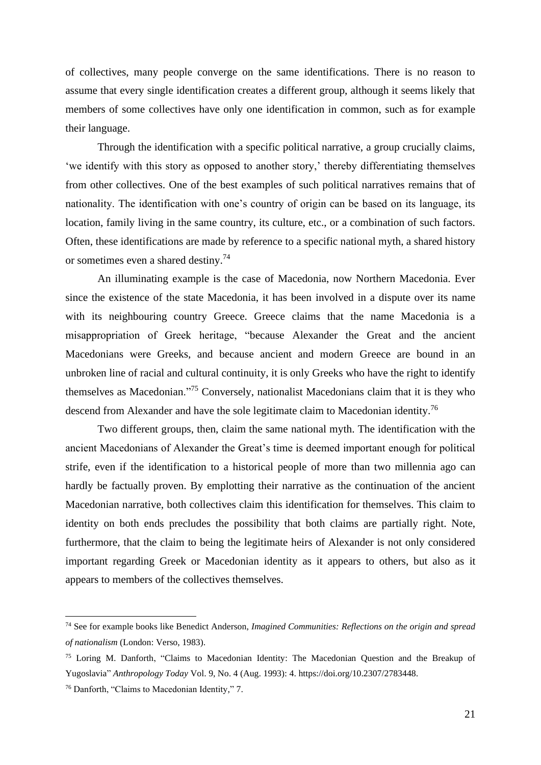of collectives, many people converge on the same identifications. There is no reason to assume that every single identification creates a different group, although it seems likely that members of some collectives have only one identification in common, such as for example their language.

Through the identification with a specific political narrative, a group crucially claims, 'we identify with this story as opposed to another story,' thereby differentiating themselves from other collectives. One of the best examples of such political narratives remains that of nationality. The identification with one's country of origin can be based on its language, its location, family living in the same country, its culture, etc., or a combination of such factors. Often, these identifications are made by reference to a specific national myth, a shared history or sometimes even a shared destiny.<sup>74</sup>

An illuminating example is the case of Macedonia, now Northern Macedonia. Ever since the existence of the state Macedonia, it has been involved in a dispute over its name with its neighbouring country Greece. Greece claims that the name Macedonia is a misappropriation of Greek heritage, "because Alexander the Great and the ancient Macedonians were Greeks, and because ancient and modern Greece are bound in an unbroken line of racial and cultural continuity, it is only Greeks who have the right to identify themselves as Macedonian."<sup>75</sup> Conversely, nationalist Macedonians claim that it is they who descend from Alexander and have the sole legitimate claim to Macedonian identity.<sup>76</sup>

Two different groups, then, claim the same national myth. The identification with the ancient Macedonians of Alexander the Great's time is deemed important enough for political strife, even if the identification to a historical people of more than two millennia ago can hardly be factually proven. By emplotting their narrative as the continuation of the ancient Macedonian narrative, both collectives claim this identification for themselves. This claim to identity on both ends precludes the possibility that both claims are partially right. Note, furthermore, that the claim to being the legitimate heirs of Alexander is not only considered important regarding Greek or Macedonian identity as it appears to others, but also as it appears to members of the collectives themselves.

<sup>74</sup> See for example books like Benedict Anderson, *Imagined Communities: Reflections on the origin and spread of nationalism* (London: Verso, 1983).

<sup>&</sup>lt;sup>75</sup> Loring M. Danforth, "Claims to Macedonian Identity: The Macedonian Question and the Breakup of Yugoslavia" *Anthropology Today* Vol. 9, No. 4 (Aug. 1993): 4. https://doi.org/10.2307/2783448.

<sup>76</sup> Danforth, "Claims to Macedonian Identity," 7.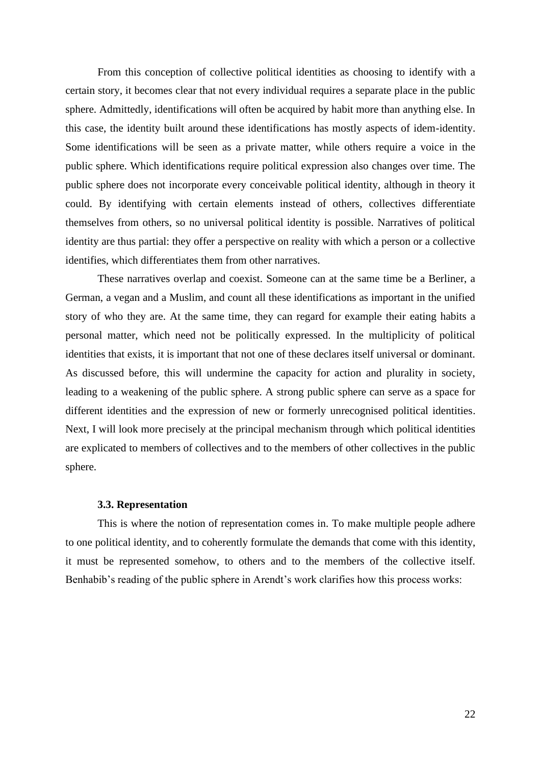From this conception of collective political identities as choosing to identify with a certain story, it becomes clear that not every individual requires a separate place in the public sphere. Admittedly, identifications will often be acquired by habit more than anything else. In this case, the identity built around these identifications has mostly aspects of idem-identity. Some identifications will be seen as a private matter, while others require a voice in the public sphere. Which identifications require political expression also changes over time. The public sphere does not incorporate every conceivable political identity, although in theory it could. By identifying with certain elements instead of others, collectives differentiate themselves from others, so no universal political identity is possible. Narratives of political identity are thus partial: they offer a perspective on reality with which a person or a collective identifies, which differentiates them from other narratives.

These narratives overlap and coexist. Someone can at the same time be a Berliner, a German, a vegan and a Muslim, and count all these identifications as important in the unified story of who they are. At the same time, they can regard for example their eating habits a personal matter, which need not be politically expressed. In the multiplicity of political identities that exists, it is important that not one of these declares itself universal or dominant. As discussed before, this will undermine the capacity for action and plurality in society, leading to a weakening of the public sphere. A strong public sphere can serve as a space for different identities and the expression of new or formerly unrecognised political identities. Next, I will look more precisely at the principal mechanism through which political identities are explicated to members of collectives and to the members of other collectives in the public sphere.

#### **3.3. Representation**

This is where the notion of representation comes in. To make multiple people adhere to one political identity, and to coherently formulate the demands that come with this identity, it must be represented somehow, to others and to the members of the collective itself. Benhabib's reading of the public sphere in Arendt's work clarifies how this process works: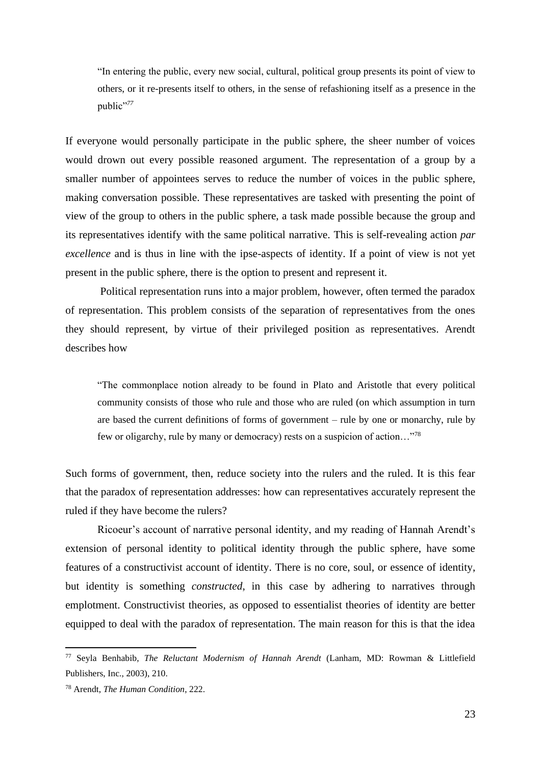"In entering the public, every new social, cultural, political group presents its point of view to others, or it re-presents itself to others, in the sense of refashioning itself as a presence in the public"*<sup>77</sup>*

If everyone would personally participate in the public sphere, the sheer number of voices would drown out every possible reasoned argument. The representation of a group by a smaller number of appointees serves to reduce the number of voices in the public sphere, making conversation possible. These representatives are tasked with presenting the point of view of the group to others in the public sphere, a task made possible because the group and its representatives identify with the same political narrative. This is self-revealing action *par excellence* and is thus in line with the ipse-aspects of identity. If a point of view is not yet present in the public sphere, there is the option to present and represent it.

Political representation runs into a major problem, however, often termed the paradox of representation. This problem consists of the separation of representatives from the ones they should represent, by virtue of their privileged position as representatives. Arendt describes how

"The commonplace notion already to be found in Plato and Aristotle that every political community consists of those who rule and those who are ruled (on which assumption in turn are based the current definitions of forms of government – rule by one or monarchy, rule by few or oligarchy, rule by many or democracy) rests on a suspicion of action…"<sup>78</sup>

Such forms of government, then, reduce society into the rulers and the ruled. It is this fear that the paradox of representation addresses: how can representatives accurately represent the ruled if they have become the rulers?

Ricoeur's account of narrative personal identity, and my reading of Hannah Arendt's extension of personal identity to political identity through the public sphere, have some features of a constructivist account of identity. There is no core, soul, or essence of identity, but identity is something *constructed*, in this case by adhering to narratives through emplotment. Constructivist theories, as opposed to essentialist theories of identity are better equipped to deal with the paradox of representation. The main reason for this is that the idea

<sup>77</sup> Seyla Benhabib, *The Reluctant Modernism of Hannah Arendt* (Lanham, MD: Rowman & Littlefield Publishers, Inc., 2003), 210.

<sup>78</sup> Arendt, *The Human Condition*, 222.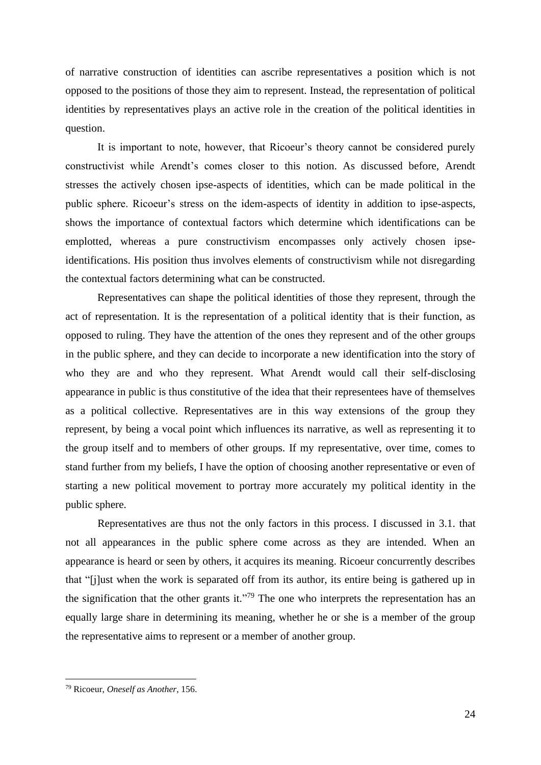of narrative construction of identities can ascribe representatives a position which is not opposed to the positions of those they aim to represent. Instead, the representation of political identities by representatives plays an active role in the creation of the political identities in question.

It is important to note, however, that Ricoeur's theory cannot be considered purely constructivist while Arendt's comes closer to this notion. As discussed before, Arendt stresses the actively chosen ipse-aspects of identities, which can be made political in the public sphere. Ricoeur's stress on the idem-aspects of identity in addition to ipse-aspects, shows the importance of contextual factors which determine which identifications can be emplotted, whereas a pure constructivism encompasses only actively chosen ipseidentifications. His position thus involves elements of constructivism while not disregarding the contextual factors determining what can be constructed.

Representatives can shape the political identities of those they represent, through the act of representation. It is the representation of a political identity that is their function, as opposed to ruling. They have the attention of the ones they represent and of the other groups in the public sphere, and they can decide to incorporate a new identification into the story of who they are and who they represent. What Arendt would call their self-disclosing appearance in public is thus constitutive of the idea that their representees have of themselves as a political collective. Representatives are in this way extensions of the group they represent, by being a vocal point which influences its narrative, as well as representing it to the group itself and to members of other groups. If my representative, over time, comes to stand further from my beliefs, I have the option of choosing another representative or even of starting a new political movement to portray more accurately my political identity in the public sphere.

Representatives are thus not the only factors in this process. I discussed in 3.1. that not all appearances in the public sphere come across as they are intended. When an appearance is heard or seen by others, it acquires its meaning. Ricoeur concurrently describes that "[j]ust when the work is separated off from its author, its entire being is gathered up in the signification that the other grants it."<sup>79</sup> The one who interprets the representation has an equally large share in determining its meaning, whether he or she is a member of the group the representative aims to represent or a member of another group.

<sup>79</sup> Ricoeur, *Oneself as Another*, 156.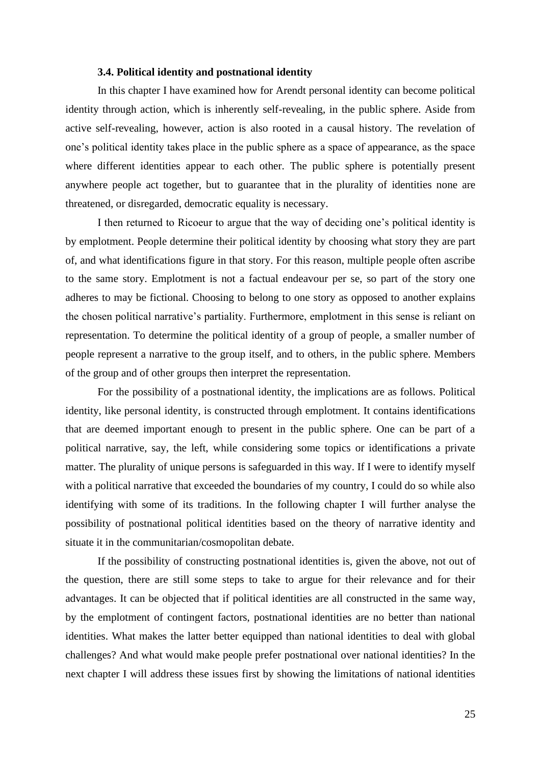# **3.4. Political identity and postnational identity**

In this chapter I have examined how for Arendt personal identity can become political identity through action, which is inherently self-revealing, in the public sphere. Aside from active self-revealing, however, action is also rooted in a causal history. The revelation of one's political identity takes place in the public sphere as a space of appearance, as the space where different identities appear to each other. The public sphere is potentially present anywhere people act together, but to guarantee that in the plurality of identities none are threatened, or disregarded, democratic equality is necessary.

I then returned to Ricoeur to argue that the way of deciding one's political identity is by emplotment. People determine their political identity by choosing what story they are part of, and what identifications figure in that story. For this reason, multiple people often ascribe to the same story. Emplotment is not a factual endeavour per se, so part of the story one adheres to may be fictional. Choosing to belong to one story as opposed to another explains the chosen political narrative's partiality. Furthermore, emplotment in this sense is reliant on representation. To determine the political identity of a group of people, a smaller number of people represent a narrative to the group itself, and to others, in the public sphere. Members of the group and of other groups then interpret the representation.

For the possibility of a postnational identity, the implications are as follows. Political identity, like personal identity, is constructed through emplotment. It contains identifications that are deemed important enough to present in the public sphere. One can be part of a political narrative, say, the left, while considering some topics or identifications a private matter. The plurality of unique persons is safeguarded in this way. If I were to identify myself with a political narrative that exceeded the boundaries of my country, I could do so while also identifying with some of its traditions. In the following chapter I will further analyse the possibility of postnational political identities based on the theory of narrative identity and situate it in the communitarian/cosmopolitan debate.

If the possibility of constructing postnational identities is, given the above, not out of the question, there are still some steps to take to argue for their relevance and for their advantages. It can be objected that if political identities are all constructed in the same way, by the emplotment of contingent factors, postnational identities are no better than national identities. What makes the latter better equipped than national identities to deal with global challenges? And what would make people prefer postnational over national identities? In the next chapter I will address these issues first by showing the limitations of national identities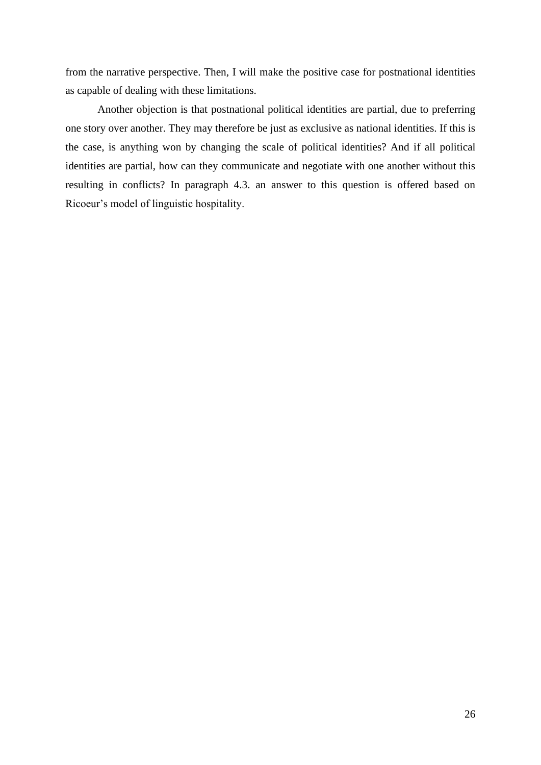from the narrative perspective. Then, I will make the positive case for postnational identities as capable of dealing with these limitations.

Another objection is that postnational political identities are partial, due to preferring one story over another. They may therefore be just as exclusive as national identities. If this is the case, is anything won by changing the scale of political identities? And if all political identities are partial, how can they communicate and negotiate with one another without this resulting in conflicts? In paragraph 4.3. an answer to this question is offered based on Ricoeur's model of linguistic hospitality.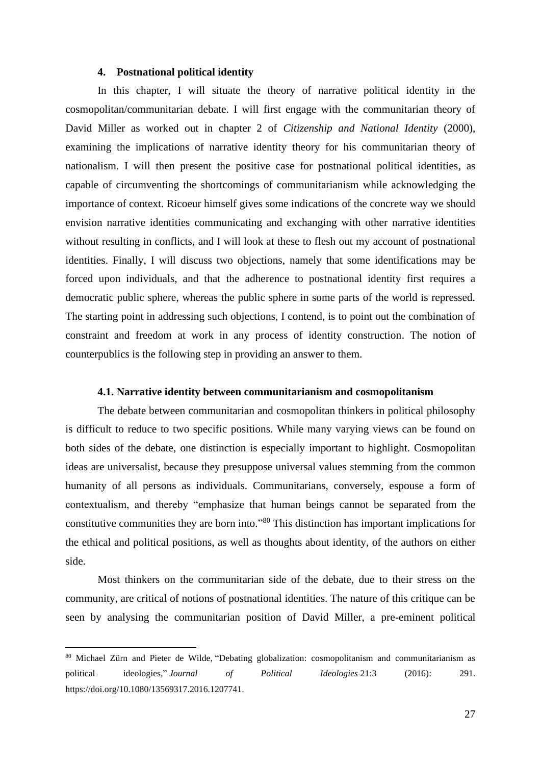### **4. Postnational political identity**

In this chapter, I will situate the theory of narrative political identity in the cosmopolitan/communitarian debate. I will first engage with the communitarian theory of David Miller as worked out in chapter 2 of *Citizenship and National Identity* (2000), examining the implications of narrative identity theory for his communitarian theory of nationalism. I will then present the positive case for postnational political identities, as capable of circumventing the shortcomings of communitarianism while acknowledging the importance of context. Ricoeur himself gives some indications of the concrete way we should envision narrative identities communicating and exchanging with other narrative identities without resulting in conflicts, and I will look at these to flesh out my account of postnational identities. Finally, I will discuss two objections, namely that some identifications may be forced upon individuals, and that the adherence to postnational identity first requires a democratic public sphere, whereas the public sphere in some parts of the world is repressed. The starting point in addressing such objections, I contend, is to point out the combination of constraint and freedom at work in any process of identity construction. The notion of counterpublics is the following step in providing an answer to them.

# **4.1. Narrative identity between communitarianism and cosmopolitanism**

The debate between communitarian and cosmopolitan thinkers in political philosophy is difficult to reduce to two specific positions. While many varying views can be found on both sides of the debate, one distinction is especially important to highlight. Cosmopolitan ideas are universalist, because they presuppose universal values stemming from the common humanity of all persons as individuals. Communitarians, conversely, espouse a form of contextualism, and thereby "emphasize that human beings cannot be separated from the constitutive communities they are born into."<sup>80</sup> This distinction has important implications for the ethical and political positions, as well as thoughts about identity, of the authors on either side.

Most thinkers on the communitarian side of the debate, due to their stress on the community, are critical of notions of postnational identities. The nature of this critique can be seen by analysing the communitarian position of David Miller, a pre-eminent political

<sup>&</sup>lt;sup>80</sup> Michael Zürn and Pieter de Wilde, "Debating globalization: cosmopolitanism and communitarianism as political ideologies," *Journal of Political Ideologies* 21:3 (2016): 291. https://doi.org/10.1080/13569317.2016.1207741.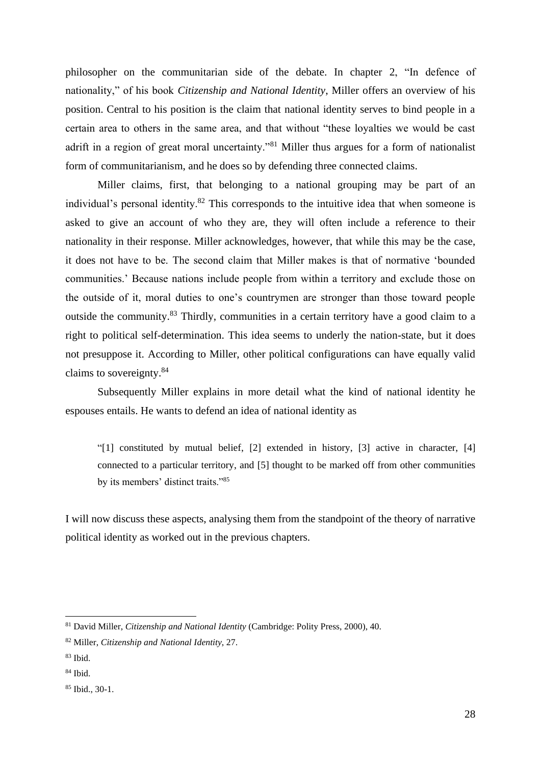philosopher on the communitarian side of the debate. In chapter 2, "In defence of nationality," of his book *Citizenship and National Identity*, Miller offers an overview of his position. Central to his position is the claim that national identity serves to bind people in a certain area to others in the same area, and that without "these loyalties we would be cast adrift in a region of great moral uncertainty."<sup>81</sup> Miller thus argues for a form of nationalist form of communitarianism, and he does so by defending three connected claims.

Miller claims, first, that belonging to a national grouping may be part of an individual's personal identity.<sup>82</sup> This corresponds to the intuitive idea that when someone is asked to give an account of who they are, they will often include a reference to their nationality in their response. Miller acknowledges, however, that while this may be the case, it does not have to be. The second claim that Miller makes is that of normative 'bounded communities.' Because nations include people from within a territory and exclude those on the outside of it, moral duties to one's countrymen are stronger than those toward people outside the community.<sup>83</sup> Thirdly, communities in a certain territory have a good claim to a right to political self-determination. This idea seems to underly the nation-state, but it does not presuppose it. According to Miller, other political configurations can have equally valid claims to sovereignty.<sup>84</sup>

Subsequently Miller explains in more detail what the kind of national identity he espouses entails. He wants to defend an idea of national identity as

"[1] constituted by mutual belief, [2] extended in history, [3] active in character, [4] connected to a particular territory, and [5] thought to be marked off from other communities by its members' distinct traits."<sup>85</sup>

I will now discuss these aspects, analysing them from the standpoint of the theory of narrative political identity as worked out in the previous chapters.

<sup>81</sup> David Miller, *Citizenship and National Identity* (Cambridge: Polity Press, 2000), 40.

<sup>82</sup> Miller, *Citizenship and National Identity*, 27.

<sup>83</sup> Ibid.

 $84$  Ibid.

<sup>85</sup> Ibid., 30-1.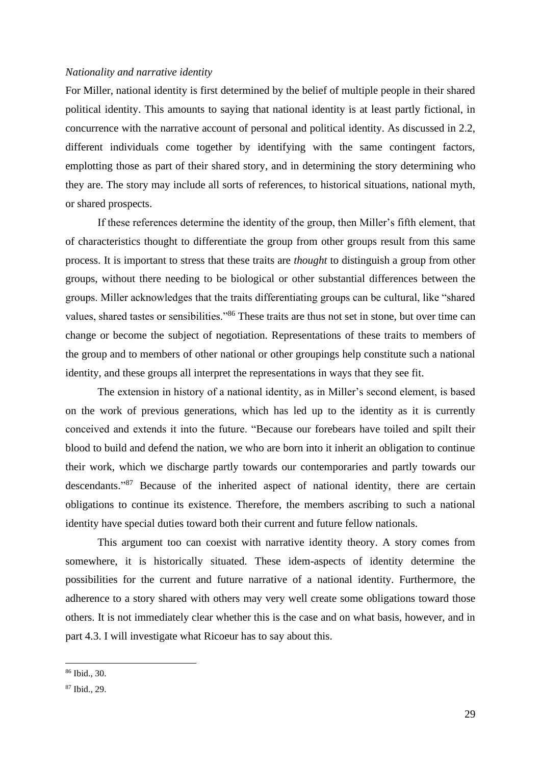## *Nationality and narrative identity*

For Miller, national identity is first determined by the belief of multiple people in their shared political identity. This amounts to saying that national identity is at least partly fictional, in concurrence with the narrative account of personal and political identity. As discussed in 2.2, different individuals come together by identifying with the same contingent factors, emplotting those as part of their shared story, and in determining the story determining who they are. The story may include all sorts of references, to historical situations, national myth, or shared prospects.

If these references determine the identity of the group, then Miller's fifth element, that of characteristics thought to differentiate the group from other groups result from this same process. It is important to stress that these traits are *thought* to distinguish a group from other groups, without there needing to be biological or other substantial differences between the groups. Miller acknowledges that the traits differentiating groups can be cultural, like "shared values, shared tastes or sensibilities."<sup>86</sup> These traits are thus not set in stone, but over time can change or become the subject of negotiation. Representations of these traits to members of the group and to members of other national or other groupings help constitute such a national identity, and these groups all interpret the representations in ways that they see fit.

The extension in history of a national identity, as in Miller's second element, is based on the work of previous generations, which has led up to the identity as it is currently conceived and extends it into the future. "Because our forebears have toiled and spilt their blood to build and defend the nation, we who are born into it inherit an obligation to continue their work, which we discharge partly towards our contemporaries and partly towards our descendants."<sup>87</sup> Because of the inherited aspect of national identity, there are certain obligations to continue its existence. Therefore, the members ascribing to such a national identity have special duties toward both their current and future fellow nationals.

This argument too can coexist with narrative identity theory. A story comes from somewhere, it is historically situated. These idem-aspects of identity determine the possibilities for the current and future narrative of a national identity. Furthermore, the adherence to a story shared with others may very well create some obligations toward those others. It is not immediately clear whether this is the case and on what basis, however, and in part 4.3. I will investigate what Ricoeur has to say about this.

 $86$  Ibid., 30.

<sup>87</sup> Ibid., 29.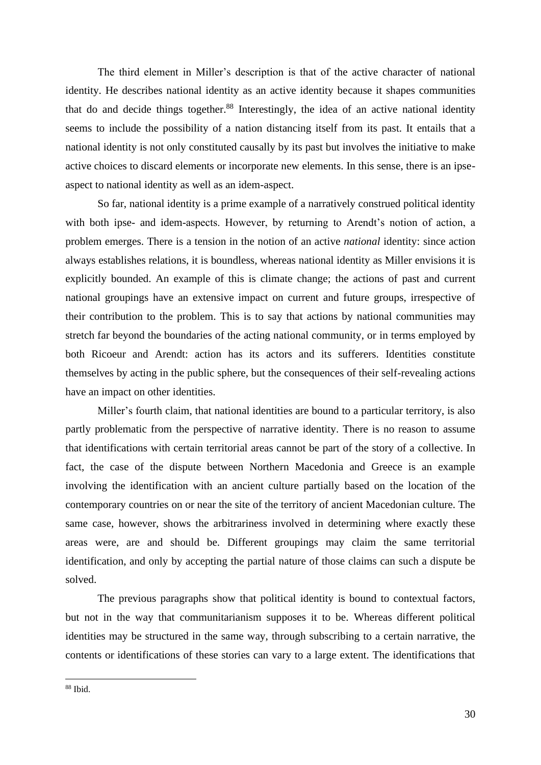The third element in Miller's description is that of the active character of national identity. He describes national identity as an active identity because it shapes communities that do and decide things together.<sup>88</sup> Interestingly, the idea of an active national identity seems to include the possibility of a nation distancing itself from its past. It entails that a national identity is not only constituted causally by its past but involves the initiative to make active choices to discard elements or incorporate new elements. In this sense, there is an ipseaspect to national identity as well as an idem-aspect.

So far, national identity is a prime example of a narratively construed political identity with both ipse- and idem-aspects. However, by returning to Arendt's notion of action, a problem emerges. There is a tension in the notion of an active *national* identity: since action always establishes relations, it is boundless, whereas national identity as Miller envisions it is explicitly bounded. An example of this is climate change; the actions of past and current national groupings have an extensive impact on current and future groups, irrespective of their contribution to the problem. This is to say that actions by national communities may stretch far beyond the boundaries of the acting national community, or in terms employed by both Ricoeur and Arendt: action has its actors and its sufferers. Identities constitute themselves by acting in the public sphere, but the consequences of their self-revealing actions have an impact on other identities.

Miller's fourth claim, that national identities are bound to a particular territory, is also partly problematic from the perspective of narrative identity. There is no reason to assume that identifications with certain territorial areas cannot be part of the story of a collective. In fact, the case of the dispute between Northern Macedonia and Greece is an example involving the identification with an ancient culture partially based on the location of the contemporary countries on or near the site of the territory of ancient Macedonian culture. The same case, however, shows the arbitrariness involved in determining where exactly these areas were, are and should be. Different groupings may claim the same territorial identification, and only by accepting the partial nature of those claims can such a dispute be solved.

The previous paragraphs show that political identity is bound to contextual factors, but not in the way that communitarianism supposes it to be. Whereas different political identities may be structured in the same way, through subscribing to a certain narrative, the contents or identifications of these stories can vary to a large extent. The identifications that

<sup>88</sup> Ibid.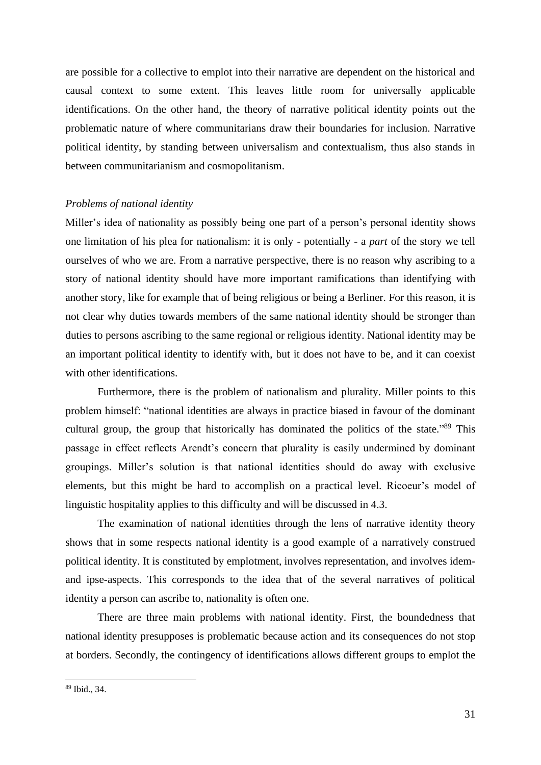are possible for a collective to emplot into their narrative are dependent on the historical and causal context to some extent. This leaves little room for universally applicable identifications. On the other hand, the theory of narrative political identity points out the problematic nature of where communitarians draw their boundaries for inclusion. Narrative political identity, by standing between universalism and contextualism, thus also stands in between communitarianism and cosmopolitanism.

#### *Problems of national identity*

Miller's idea of nationality as possibly being one part of a person's personal identity shows one limitation of his plea for nationalism: it is only - potentially - a *part* of the story we tell ourselves of who we are. From a narrative perspective, there is no reason why ascribing to a story of national identity should have more important ramifications than identifying with another story, like for example that of being religious or being a Berliner. For this reason, it is not clear why duties towards members of the same national identity should be stronger than duties to persons ascribing to the same regional or religious identity. National identity may be an important political identity to identify with, but it does not have to be, and it can coexist with other identifications.

Furthermore, there is the problem of nationalism and plurality. Miller points to this problem himself: "national identities are always in practice biased in favour of the dominant cultural group, the group that historically has dominated the politics of the state."<sup>89</sup> This passage in effect reflects Arendt's concern that plurality is easily undermined by dominant groupings. Miller's solution is that national identities should do away with exclusive elements, but this might be hard to accomplish on a practical level. Ricoeur's model of linguistic hospitality applies to this difficulty and will be discussed in 4.3.

The examination of national identities through the lens of narrative identity theory shows that in some respects national identity is a good example of a narratively construed political identity. It is constituted by emplotment, involves representation, and involves idemand ipse-aspects. This corresponds to the idea that of the several narratives of political identity a person can ascribe to, nationality is often one.

There are three main problems with national identity. First, the boundedness that national identity presupposes is problematic because action and its consequences do not stop at borders. Secondly, the contingency of identifications allows different groups to emplot the

<sup>89</sup> Ibid., 34.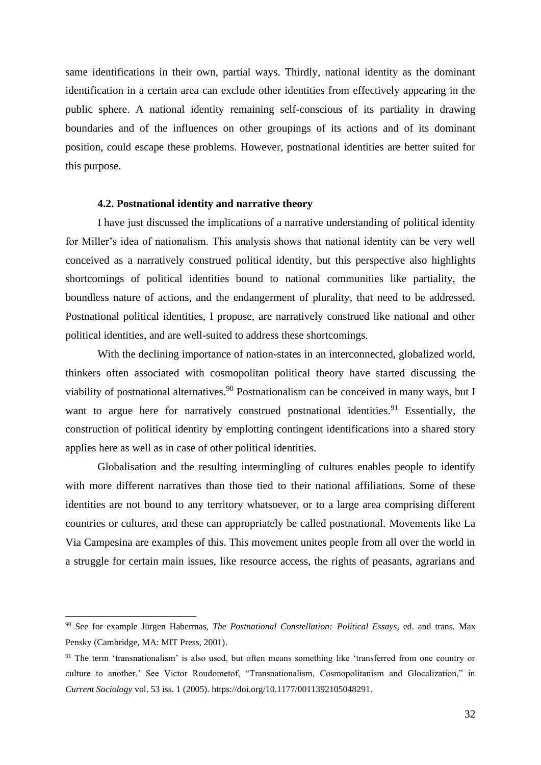same identifications in their own, partial ways. Thirdly, national identity as the dominant identification in a certain area can exclude other identities from effectively appearing in the public sphere. A national identity remaining self-conscious of its partiality in drawing boundaries and of the influences on other groupings of its actions and of its dominant position, could escape these problems. However, postnational identities are better suited for this purpose.

#### **4.2. Postnational identity and narrative theory**

I have just discussed the implications of a narrative understanding of political identity for Miller's idea of nationalism. This analysis shows that national identity can be very well conceived as a narratively construed political identity, but this perspective also highlights shortcomings of political identities bound to national communities like partiality, the boundless nature of actions, and the endangerment of plurality, that need to be addressed. Postnational political identities, I propose, are narratively construed like national and other political identities, and are well-suited to address these shortcomings.

With the declining importance of nation-states in an interconnected, globalized world, thinkers often associated with cosmopolitan political theory have started discussing the viability of postnational alternatives.<sup>90</sup> Postnationalism can be conceived in many ways, but I want to argue here for narratively construed postnational identities.<sup>91</sup> Essentially, the construction of political identity by emplotting contingent identifications into a shared story applies here as well as in case of other political identities.

Globalisation and the resulting intermingling of cultures enables people to identify with more different narratives than those tied to their national affiliations. Some of these identities are not bound to any territory whatsoever, or to a large area comprising different countries or cultures, and these can appropriately be called postnational. Movements like La Via Campesina are examples of this. This movement unites people from all over the world in a struggle for certain main issues, like resource access, the rights of peasants, agrarians and

<sup>90</sup> See for example Jürgen Habermas, *The Postnational Constellation: Political Essays,* ed. and trans. Max Pensky (Cambridge, MA: MIT Press, 2001).

<sup>&</sup>lt;sup>91</sup> The term 'transnationalism' is also used, but often means something like 'transferred from one country or culture to another.' See Victor Roudometof, "Transnationalism, Cosmopolitanism and Glocalization," in *Current Sociology* vol. 53 iss. 1 (2005). https://doi.org/10.1177/0011392105048291.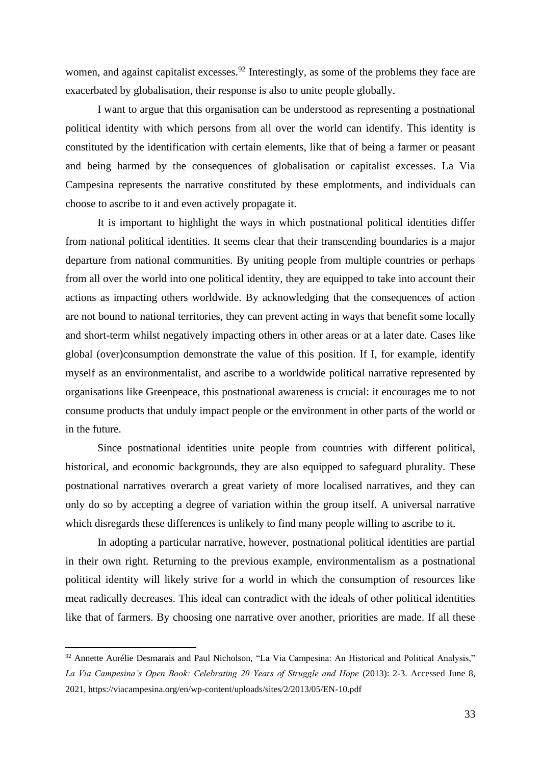women, and against capitalist excesses.<sup>92</sup> Interestingly, as some of the problems they face are exacerbated by globalisation, their response is also to unite people globally.

I want to argue that this organisation can be understood as representing a postnational political identity with which persons from all over the world can identify. This identity is constituted by the identification with certain elements, like that of being a farmer or peasant and being harmed by the consequences of globalisation or capitalist excesses. La Via Campesina represents the narrative constituted by these emplotments, and individuals can choose to ascribe to it and even actively propagate it.

It is important to highlight the ways in which postnational political identities differ from national political identities. It seems clear that their transcending boundaries is a major departure from national communities. By uniting people from multiple countries or perhaps from all over the world into one political identity, they are equipped to take into account their actions as impacting others worldwide. By acknowledging that the consequences of action are not bound to national territories, they can prevent acting in ways that benefit some locally and short-term whilst negatively impacting others in other areas or at a later date. Cases like global (over)consumption demonstrate the value of this position. If I, for example, identify myself as an environmentalist, and ascribe to a worldwide political narrative represented by organisations like Greenpeace, this postnational awareness is crucial: it encourages me to not consume products that unduly impact people or the environment in other parts of the world or in the future.

Since postnational identities unite people from countries with different political, historical, and economic backgrounds, they are also equipped to safeguard plurality. These postnational narratives overarch a great variety of more localised narratives, and they can only do so by accepting a degree of variation within the group itself. A universal narrative which disregards these differences is unlikely to find many people willing to ascribe to it.

In adopting a particular narrative, however, postnational political identities are partial in their own right. Returning to the previous example, environmentalism as a postnational political identity will likely strive for a world in which the consumption of resources like meat radically decreases. This ideal can contradict with the ideals of other political identities like that of farmers. By choosing one narrative over another, priorities are made. If all these

<sup>92</sup> Annette Aurélie Desmarais and Paul Nicholson, "La Via Campesina: An Historical and Political Analysis," La Via Campesina's Open Book: Celebrating 20 Years of Struggle and Hope (2013): 2-3. Accessed June 8, 2021, https://viacampesina.org/en/wp-content/uploads/sites/2/2013/05/EN-10.pdf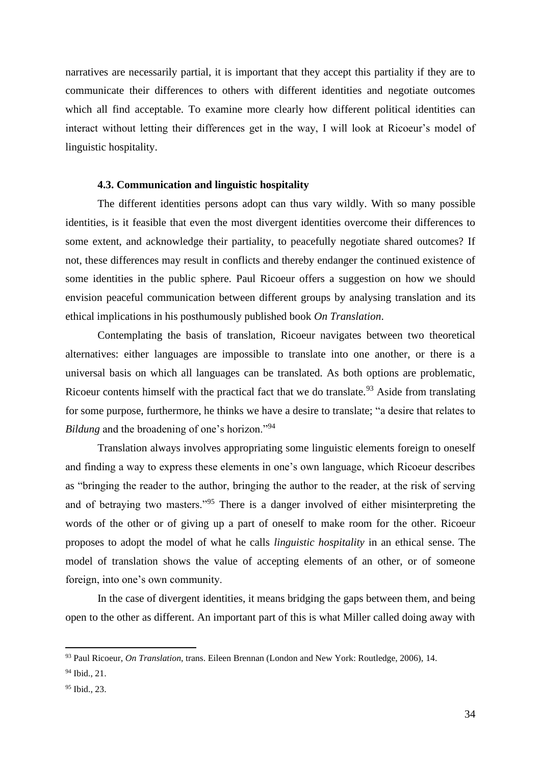narratives are necessarily partial, it is important that they accept this partiality if they are to communicate their differences to others with different identities and negotiate outcomes which all find acceptable. To examine more clearly how different political identities can interact without letting their differences get in the way, I will look at Ricoeur's model of linguistic hospitality.

# **4.3. Communication and linguistic hospitality**

The different identities persons adopt can thus vary wildly. With so many possible identities, is it feasible that even the most divergent identities overcome their differences to some extent, and acknowledge their partiality, to peacefully negotiate shared outcomes? If not, these differences may result in conflicts and thereby endanger the continued existence of some identities in the public sphere. Paul Ricoeur offers a suggestion on how we should envision peaceful communication between different groups by analysing translation and its ethical implications in his posthumously published book *On Translation*.

Contemplating the basis of translation, Ricoeur navigates between two theoretical alternatives: either languages are impossible to translate into one another, or there is a universal basis on which all languages can be translated. As both options are problematic, Ricoeur contents himself with the practical fact that we do translate.<sup>93</sup> Aside from translating for some purpose, furthermore, he thinks we have a desire to translate; "a desire that relates to *Bildung* and the broadening of one's horizon."<sup>94</sup>

Translation always involves appropriating some linguistic elements foreign to oneself and finding a way to express these elements in one's own language, which Ricoeur describes as "bringing the reader to the author, bringing the author to the reader, at the risk of serving and of betraying two masters."<sup>95</sup> There is a danger involved of either misinterpreting the words of the other or of giving up a part of oneself to make room for the other. Ricoeur proposes to adopt the model of what he calls *linguistic hospitality* in an ethical sense. The model of translation shows the value of accepting elements of an other, or of someone foreign, into one's own community.

In the case of divergent identities, it means bridging the gaps between them, and being open to the other as different. An important part of this is what Miller called doing away with

<sup>93</sup> Paul Ricoeur, *On Translation*, trans. Eileen Brennan (London and New York: Routledge, 2006), 14.

<sup>94</sup> Ibid., 21.

<sup>95</sup> Ibid., 23.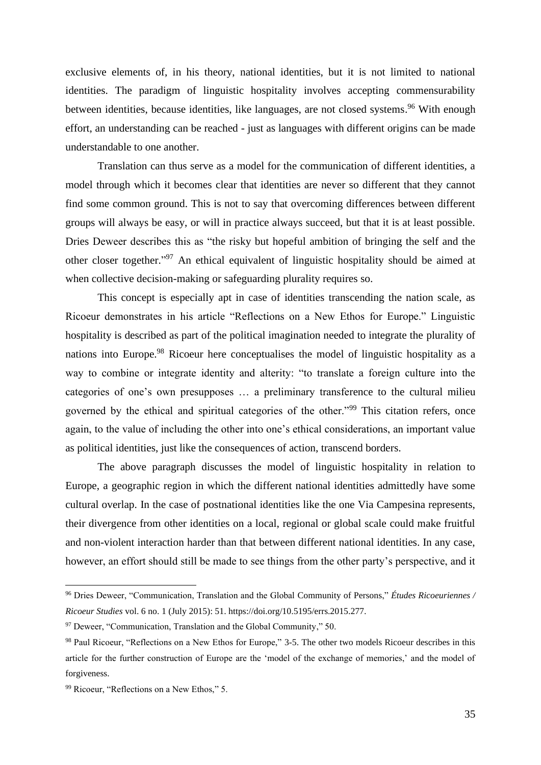exclusive elements of, in his theory, national identities, but it is not limited to national identities. The paradigm of linguistic hospitality involves accepting commensurability between identities, because identities, like languages, are not closed systems.<sup>96</sup> With enough effort, an understanding can be reached - just as languages with different origins can be made understandable to one another.

Translation can thus serve as a model for the communication of different identities, a model through which it becomes clear that identities are never so different that they cannot find some common ground. This is not to say that overcoming differences between different groups will always be easy, or will in practice always succeed, but that it is at least possible. Dries Deweer describes this as "the risky but hopeful ambition of bringing the self and the other closer together."<sup>97</sup> An ethical equivalent of linguistic hospitality should be aimed at when collective decision-making or safeguarding plurality requires so.

This concept is especially apt in case of identities transcending the nation scale, as Ricoeur demonstrates in his article "Reflections on a New Ethos for Europe." Linguistic hospitality is described as part of the political imagination needed to integrate the plurality of nations into Europe.<sup>98</sup> Ricoeur here conceptualises the model of linguistic hospitality as a way to combine or integrate identity and alterity: "to translate a foreign culture into the categories of one's own presupposes … a preliminary transference to the cultural milieu governed by the ethical and spiritual categories of the other."<sup>99</sup> This citation refers, once again, to the value of including the other into one's ethical considerations, an important value as political identities, just like the consequences of action, transcend borders.

The above paragraph discusses the model of linguistic hospitality in relation to Europe, a geographic region in which the different national identities admittedly have some cultural overlap. In the case of postnational identities like the one Via Campesina represents, their divergence from other identities on a local, regional or global scale could make fruitful and non-violent interaction harder than that between different national identities. In any case, however, an effort should still be made to see things from the other party's perspective, and it

<sup>96</sup> Dries Deweer, "Communication, Translation and the Global Community of Persons," *Études Ricoeuriennes / Ricoeur Studies* vol. 6 no. 1 (July 2015): 51. https://doi.org/10.5195/errs.2015.277.

 $97$  Deweer, "Communication, Translation and the Global Community," 50.

<sup>98</sup> Paul Ricoeur, "Reflections on a New Ethos for Europe," 3-5. The other two models Ricoeur describes in this article for the further construction of Europe are the 'model of the exchange of memories,' and the model of forgiveness.

<sup>99</sup> Ricoeur, "Reflections on a New Ethos," 5.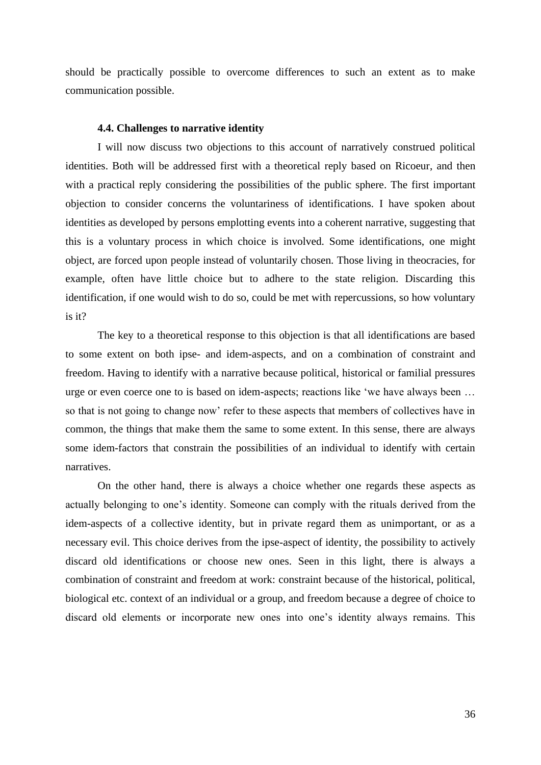should be practically possible to overcome differences to such an extent as to make communication possible.

#### **4.4. Challenges to narrative identity**

I will now discuss two objections to this account of narratively construed political identities. Both will be addressed first with a theoretical reply based on Ricoeur, and then with a practical reply considering the possibilities of the public sphere. The first important objection to consider concerns the voluntariness of identifications. I have spoken about identities as developed by persons emplotting events into a coherent narrative, suggesting that this is a voluntary process in which choice is involved. Some identifications, one might object, are forced upon people instead of voluntarily chosen. Those living in theocracies, for example, often have little choice but to adhere to the state religion. Discarding this identification, if one would wish to do so, could be met with repercussions, so how voluntary is it?

The key to a theoretical response to this objection is that all identifications are based to some extent on both ipse- and idem-aspects, and on a combination of constraint and freedom. Having to identify with a narrative because political, historical or familial pressures urge or even coerce one to is based on idem-aspects; reactions like 'we have always been … so that is not going to change now' refer to these aspects that members of collectives have in common, the things that make them the same to some extent. In this sense, there are always some idem-factors that constrain the possibilities of an individual to identify with certain narratives.

On the other hand, there is always a choice whether one regards these aspects as actually belonging to one's identity. Someone can comply with the rituals derived from the idem-aspects of a collective identity, but in private regard them as unimportant, or as a necessary evil. This choice derives from the ipse-aspect of identity, the possibility to actively discard old identifications or choose new ones. Seen in this light, there is always a combination of constraint and freedom at work: constraint because of the historical, political, biological etc. context of an individual or a group, and freedom because a degree of choice to discard old elements or incorporate new ones into one's identity always remains. This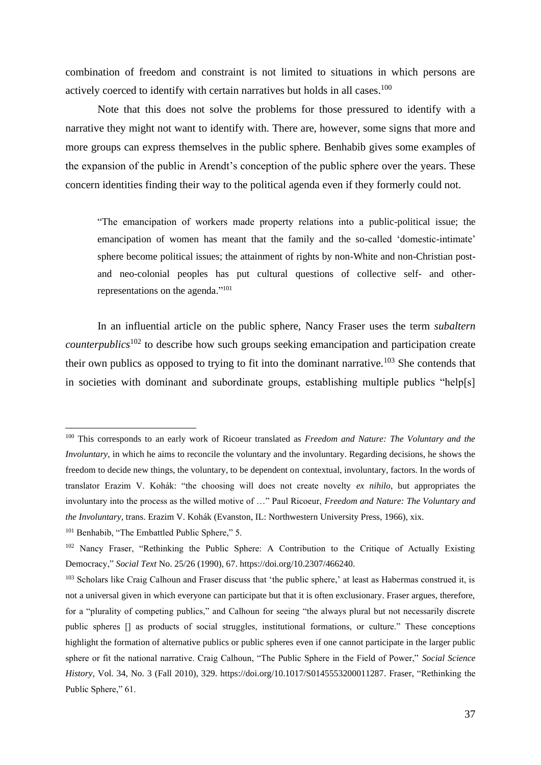combination of freedom and constraint is not limited to situations in which persons are actively coerced to identify with certain narratives but holds in all cases.<sup>100</sup>

Note that this does not solve the problems for those pressured to identify with a narrative they might not want to identify with. There are, however, some signs that more and more groups can express themselves in the public sphere. Benhabib gives some examples of the expansion of the public in Arendt's conception of the public sphere over the years. These concern identities finding their way to the political agenda even if they formerly could not.

"The emancipation of workers made property relations into a public-political issue; the emancipation of women has meant that the family and the so-called 'domestic-intimate' sphere become political issues; the attainment of rights by non-White and non-Christian postand neo-colonial peoples has put cultural questions of collective self- and otherrepresentations on the agenda."<sup>101</sup>

In an influential article on the public sphere, Nancy Fraser uses the term *subaltern counterpublics*<sup>102</sup> to describe how such groups seeking emancipation and participation create their own publics as opposed to trying to fit into the dominant narrative.<sup>103</sup> She contends that in societies with dominant and subordinate groups, establishing multiple publics "help[s]

<sup>100</sup> This corresponds to an early work of Ricoeur translated as *Freedom and Nature: The Voluntary and the Involuntary*, in which he aims to reconcile the voluntary and the involuntary. Regarding decisions, he shows the freedom to decide new things, the voluntary, to be dependent on contextual, involuntary, factors. In the words of translator Erazim V. Kohák: "the choosing will does not create novelty *ex nihilo*, but appropriates the involuntary into the process as the willed motive of …" Paul Ricoeur, *Freedom and Nature: The Voluntary and the Involuntary*, trans. Erazim V. Kohák (Evanston, IL: Northwestern University Press, 1966), xix.

<sup>&</sup>lt;sup>101</sup> Benhabib, "The Embattled Public Sphere," 5.

<sup>&</sup>lt;sup>102</sup> Nancy Fraser, "Rethinking the Public Sphere: A Contribution to the Critique of Actually Existing Democracy," *Social Text* No. 25/26 (1990), 67. https://doi.org/10.2307/466240.

<sup>&</sup>lt;sup>103</sup> Scholars like Craig Calhoun and Fraser discuss that 'the public sphere,' at least as Habermas construed it, is not a universal given in which everyone can participate but that it is often exclusionary. Fraser argues, therefore, for a "plurality of competing publics," and Calhoun for seeing "the always plural but not necessarily discrete public spheres [] as products of social struggles, institutional formations, or culture." These conceptions highlight the formation of alternative publics or public spheres even if one cannot participate in the larger public sphere or fit the national narrative. Craig Calhoun, "The Public Sphere in the Field of Power," *Social Science History*, Vol. 34, No. 3 (Fall 2010), 329. https://doi.org/10.1017/S0145553200011287. Fraser, "Rethinking the Public Sphere," 61.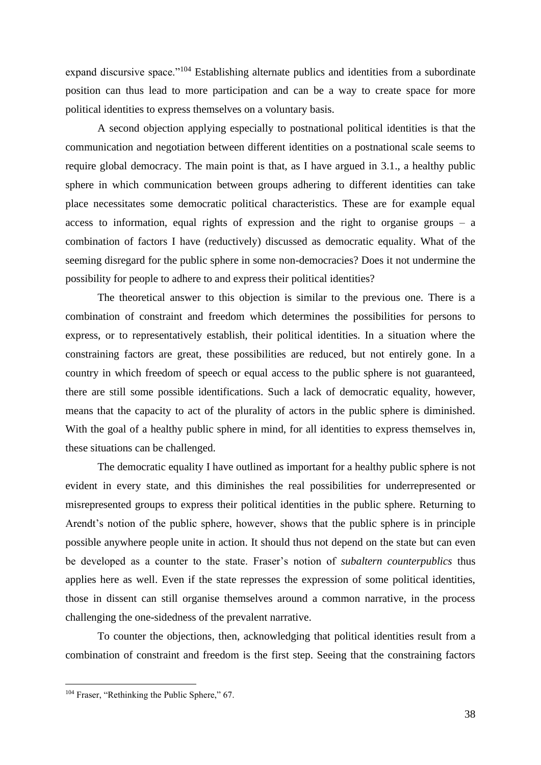expand discursive space."<sup>104</sup> Establishing alternate publics and identities from a subordinate position can thus lead to more participation and can be a way to create space for more political identities to express themselves on a voluntary basis.

A second objection applying especially to postnational political identities is that the communication and negotiation between different identities on a postnational scale seems to require global democracy. The main point is that, as I have argued in 3.1., a healthy public sphere in which communication between groups adhering to different identities can take place necessitates some democratic political characteristics. These are for example equal access to information, equal rights of expression and the right to organise groups  $-$  a combination of factors I have (reductively) discussed as democratic equality. What of the seeming disregard for the public sphere in some non-democracies? Does it not undermine the possibility for people to adhere to and express their political identities?

The theoretical answer to this objection is similar to the previous one. There is a combination of constraint and freedom which determines the possibilities for persons to express, or to representatively establish, their political identities. In a situation where the constraining factors are great, these possibilities are reduced, but not entirely gone. In a country in which freedom of speech or equal access to the public sphere is not guaranteed, there are still some possible identifications. Such a lack of democratic equality, however, means that the capacity to act of the plurality of actors in the public sphere is diminished. With the goal of a healthy public sphere in mind, for all identities to express themselves in, these situations can be challenged.

The democratic equality I have outlined as important for a healthy public sphere is not evident in every state, and this diminishes the real possibilities for underrepresented or misrepresented groups to express their political identities in the public sphere. Returning to Arendt's notion of the public sphere, however, shows that the public sphere is in principle possible anywhere people unite in action. It should thus not depend on the state but can even be developed as a counter to the state. Fraser's notion of *subaltern counterpublics* thus applies here as well. Even if the state represses the expression of some political identities, those in dissent can still organise themselves around a common narrative, in the process challenging the one-sidedness of the prevalent narrative.

To counter the objections, then, acknowledging that political identities result from a combination of constraint and freedom is the first step. Seeing that the constraining factors

<sup>104</sup> Fraser, "Rethinking the Public Sphere," 67.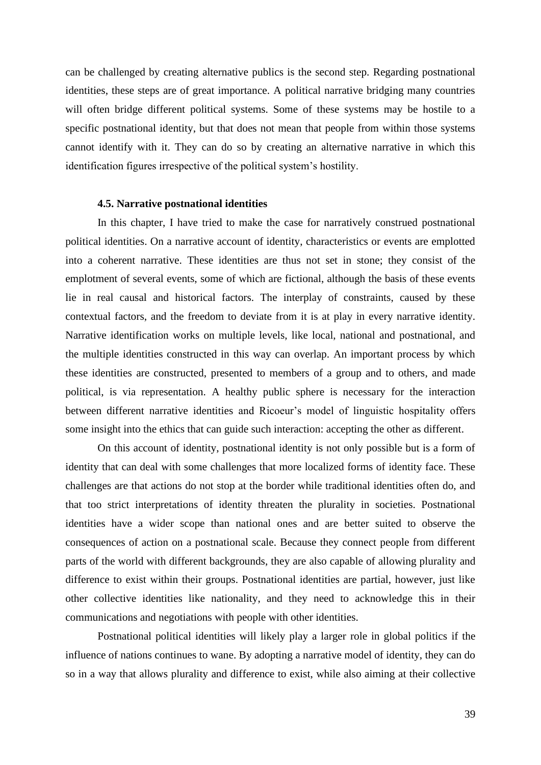can be challenged by creating alternative publics is the second step. Regarding postnational identities, these steps are of great importance. A political narrative bridging many countries will often bridge different political systems. Some of these systems may be hostile to a specific postnational identity, but that does not mean that people from within those systems cannot identify with it. They can do so by creating an alternative narrative in which this identification figures irrespective of the political system's hostility.

#### **4.5. Narrative postnational identities**

In this chapter, I have tried to make the case for narratively construed postnational political identities. On a narrative account of identity, characteristics or events are emplotted into a coherent narrative. These identities are thus not set in stone; they consist of the emplotment of several events, some of which are fictional, although the basis of these events lie in real causal and historical factors. The interplay of constraints, caused by these contextual factors, and the freedom to deviate from it is at play in every narrative identity. Narrative identification works on multiple levels, like local, national and postnational, and the multiple identities constructed in this way can overlap. An important process by which these identities are constructed, presented to members of a group and to others, and made political, is via representation. A healthy public sphere is necessary for the interaction between different narrative identities and Ricoeur's model of linguistic hospitality offers some insight into the ethics that can guide such interaction: accepting the other as different.

On this account of identity, postnational identity is not only possible but is a form of identity that can deal with some challenges that more localized forms of identity face. These challenges are that actions do not stop at the border while traditional identities often do, and that too strict interpretations of identity threaten the plurality in societies. Postnational identities have a wider scope than national ones and are better suited to observe the consequences of action on a postnational scale. Because they connect people from different parts of the world with different backgrounds, they are also capable of allowing plurality and difference to exist within their groups. Postnational identities are partial, however, just like other collective identities like nationality, and they need to acknowledge this in their communications and negotiations with people with other identities.

Postnational political identities will likely play a larger role in global politics if the influence of nations continues to wane. By adopting a narrative model of identity, they can do so in a way that allows plurality and difference to exist, while also aiming at their collective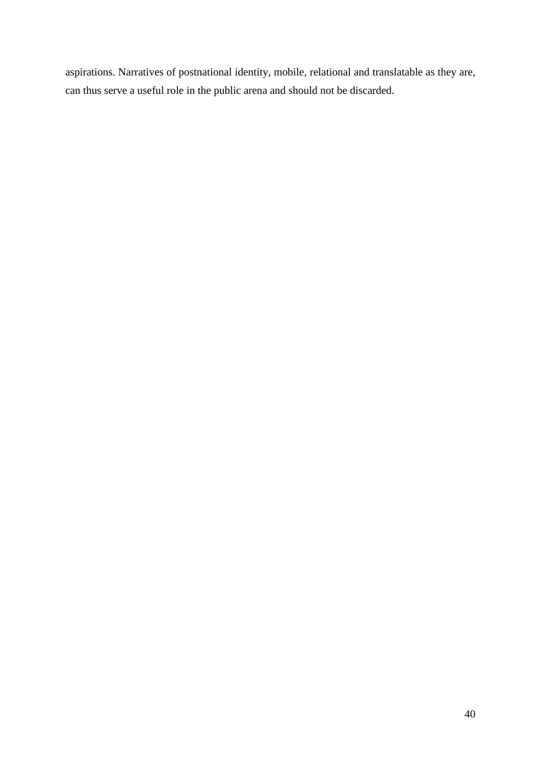aspirations. Narratives of postnational identity, mobile, relational and translatable as they are, can thus serve a useful role in the public arena and should not be discarded.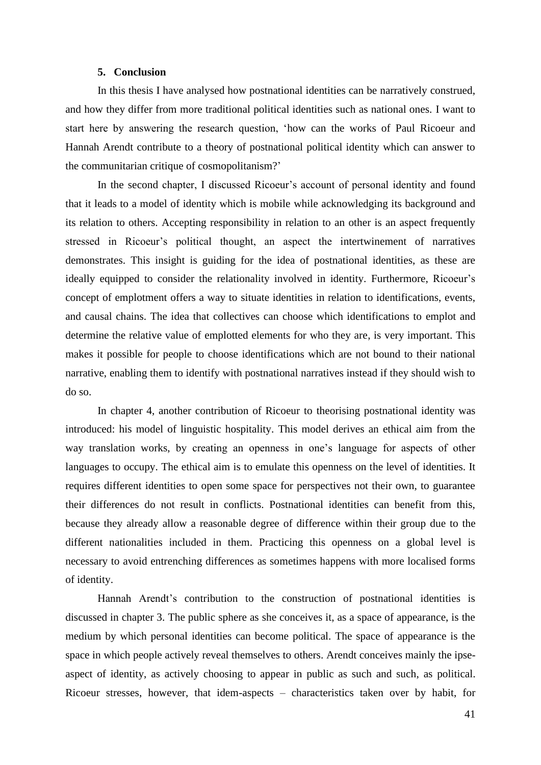## **5. Conclusion**

In this thesis I have analysed how postnational identities can be narratively construed, and how they differ from more traditional political identities such as national ones. I want to start here by answering the research question, 'how can the works of Paul Ricoeur and Hannah Arendt contribute to a theory of postnational political identity which can answer to the communitarian critique of cosmopolitanism?'

In the second chapter, I discussed Ricoeur's account of personal identity and found that it leads to a model of identity which is mobile while acknowledging its background and its relation to others. Accepting responsibility in relation to an other is an aspect frequently stressed in Ricoeur's political thought, an aspect the intertwinement of narratives demonstrates. This insight is guiding for the idea of postnational identities, as these are ideally equipped to consider the relationality involved in identity. Furthermore, Ricoeur's concept of emplotment offers a way to situate identities in relation to identifications, events, and causal chains. The idea that collectives can choose which identifications to emplot and determine the relative value of emplotted elements for who they are, is very important. This makes it possible for people to choose identifications which are not bound to their national narrative, enabling them to identify with postnational narratives instead if they should wish to do so.

In chapter 4, another contribution of Ricoeur to theorising postnational identity was introduced: his model of linguistic hospitality. This model derives an ethical aim from the way translation works, by creating an openness in one's language for aspects of other languages to occupy. The ethical aim is to emulate this openness on the level of identities. It requires different identities to open some space for perspectives not their own, to guarantee their differences do not result in conflicts. Postnational identities can benefit from this, because they already allow a reasonable degree of difference within their group due to the different nationalities included in them. Practicing this openness on a global level is necessary to avoid entrenching differences as sometimes happens with more localised forms of identity.

Hannah Arendt's contribution to the construction of postnational identities is discussed in chapter 3. The public sphere as she conceives it, as a space of appearance, is the medium by which personal identities can become political. The space of appearance is the space in which people actively reveal themselves to others. Arendt conceives mainly the ipseaspect of identity, as actively choosing to appear in public as such and such, as political. Ricoeur stresses, however, that idem-aspects – characteristics taken over by habit, for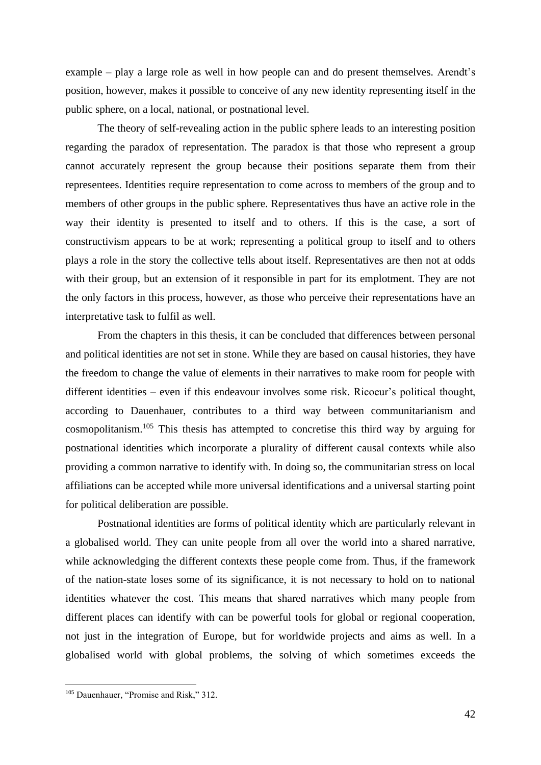example – play a large role as well in how people can and do present themselves. Arendt's position, however, makes it possible to conceive of any new identity representing itself in the public sphere, on a local, national, or postnational level.

The theory of self-revealing action in the public sphere leads to an interesting position regarding the paradox of representation. The paradox is that those who represent a group cannot accurately represent the group because their positions separate them from their representees. Identities require representation to come across to members of the group and to members of other groups in the public sphere. Representatives thus have an active role in the way their identity is presented to itself and to others. If this is the case, a sort of constructivism appears to be at work; representing a political group to itself and to others plays a role in the story the collective tells about itself. Representatives are then not at odds with their group, but an extension of it responsible in part for its emplotment. They are not the only factors in this process, however, as those who perceive their representations have an interpretative task to fulfil as well.

From the chapters in this thesis, it can be concluded that differences between personal and political identities are not set in stone. While they are based on causal histories, they have the freedom to change the value of elements in their narratives to make room for people with different identities – even if this endeavour involves some risk. Ricoeur's political thought, according to Dauenhauer, contributes to a third way between communitarianism and cosmopolitanism.<sup>105</sup> This thesis has attempted to concretise this third way by arguing for postnational identities which incorporate a plurality of different causal contexts while also providing a common narrative to identify with. In doing so, the communitarian stress on local affiliations can be accepted while more universal identifications and a universal starting point for political deliberation are possible.

Postnational identities are forms of political identity which are particularly relevant in a globalised world. They can unite people from all over the world into a shared narrative, while acknowledging the different contexts these people come from. Thus, if the framework of the nation-state loses some of its significance, it is not necessary to hold on to national identities whatever the cost. This means that shared narratives which many people from different places can identify with can be powerful tools for global or regional cooperation, not just in the integration of Europe, but for worldwide projects and aims as well. In a globalised world with global problems, the solving of which sometimes exceeds the

<sup>&</sup>lt;sup>105</sup> Dauenhauer, "Promise and Risk," 312.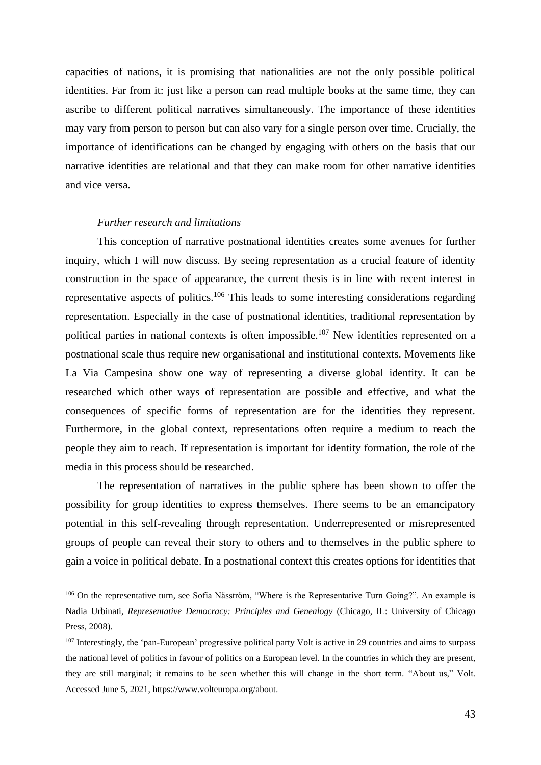capacities of nations, it is promising that nationalities are not the only possible political identities. Far from it: just like a person can read multiple books at the same time, they can ascribe to different political narratives simultaneously. The importance of these identities may vary from person to person but can also vary for a single person over time. Crucially, the importance of identifications can be changed by engaging with others on the basis that our narrative identities are relational and that they can make room for other narrative identities and vice versa.

### *Further research and limitations*

This conception of narrative postnational identities creates some avenues for further inquiry, which I will now discuss. By seeing representation as a crucial feature of identity construction in the space of appearance, the current thesis is in line with recent interest in representative aspects of politics.<sup>106</sup> This leads to some interesting considerations regarding representation. Especially in the case of postnational identities, traditional representation by political parties in national contexts is often impossible.<sup>107</sup> New identities represented on a postnational scale thus require new organisational and institutional contexts. Movements like La Via Campesina show one way of representing a diverse global identity. It can be researched which other ways of representation are possible and effective, and what the consequences of specific forms of representation are for the identities they represent. Furthermore, in the global context, representations often require a medium to reach the people they aim to reach. If representation is important for identity formation, the role of the media in this process should be researched.

The representation of narratives in the public sphere has been shown to offer the possibility for group identities to express themselves. There seems to be an emancipatory potential in this self-revealing through representation. Underrepresented or misrepresented groups of people can reveal their story to others and to themselves in the public sphere to gain a voice in political debate. In a postnational context this creates options for identities that

<sup>&</sup>lt;sup>106</sup> On the representative turn, see Sofia Näsström, "Where is the Representative Turn Going?". An example is Nadia Urbinati, *Representative Democracy: Principles and Genealogy* (Chicago, IL: University of Chicago Press, 2008).

<sup>&</sup>lt;sup>107</sup> Interestingly, the 'pan-European' progressive political party Volt is active in 29 countries and aims to surpass the national level of politics in favour of politics on a European level. In the countries in which they are present, they are still marginal; it remains to be seen whether this will change in the short term. "About us," Volt. Accessed June 5, 2021, https://www.volteuropa.org/about.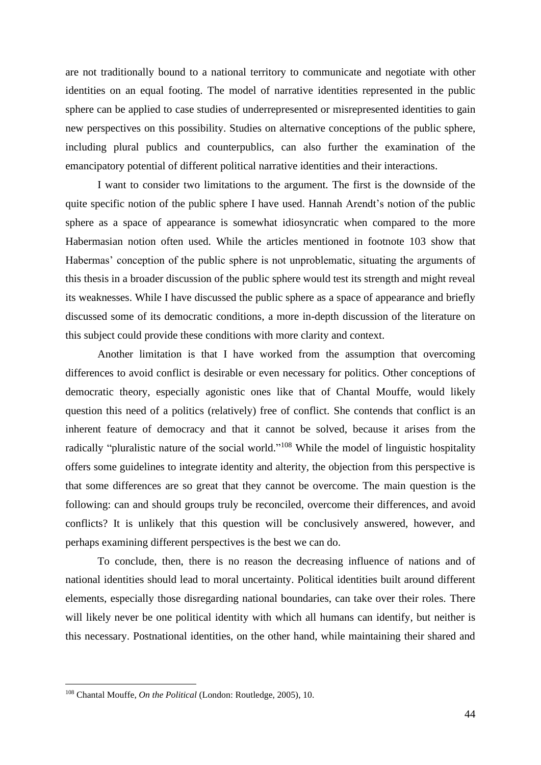are not traditionally bound to a national territory to communicate and negotiate with other identities on an equal footing. The model of narrative identities represented in the public sphere can be applied to case studies of underrepresented or misrepresented identities to gain new perspectives on this possibility. Studies on alternative conceptions of the public sphere, including plural publics and counterpublics, can also further the examination of the emancipatory potential of different political narrative identities and their interactions.

I want to consider two limitations to the argument. The first is the downside of the quite specific notion of the public sphere I have used. Hannah Arendt's notion of the public sphere as a space of appearance is somewhat idiosyncratic when compared to the more Habermasian notion often used. While the articles mentioned in footnote 103 show that Habermas' conception of the public sphere is not unproblematic, situating the arguments of this thesis in a broader discussion of the public sphere would test its strength and might reveal its weaknesses. While I have discussed the public sphere as a space of appearance and briefly discussed some of its democratic conditions, a more in-depth discussion of the literature on this subject could provide these conditions with more clarity and context.

Another limitation is that I have worked from the assumption that overcoming differences to avoid conflict is desirable or even necessary for politics. Other conceptions of democratic theory, especially agonistic ones like that of Chantal Mouffe, would likely question this need of a politics (relatively) free of conflict. She contends that conflict is an inherent feature of democracy and that it cannot be solved, because it arises from the radically "pluralistic nature of the social world."<sup>108</sup> While the model of linguistic hospitality offers some guidelines to integrate identity and alterity, the objection from this perspective is that some differences are so great that they cannot be overcome. The main question is the following: can and should groups truly be reconciled, overcome their differences, and avoid conflicts? It is unlikely that this question will be conclusively answered, however, and perhaps examining different perspectives is the best we can do.

To conclude, then, there is no reason the decreasing influence of nations and of national identities should lead to moral uncertainty. Political identities built around different elements, especially those disregarding national boundaries, can take over their roles. There will likely never be one political identity with which all humans can identify, but neither is this necessary. Postnational identities, on the other hand, while maintaining their shared and

<sup>108</sup> Chantal Mouffe, *On the Political* (London: Routledge, 2005), 10.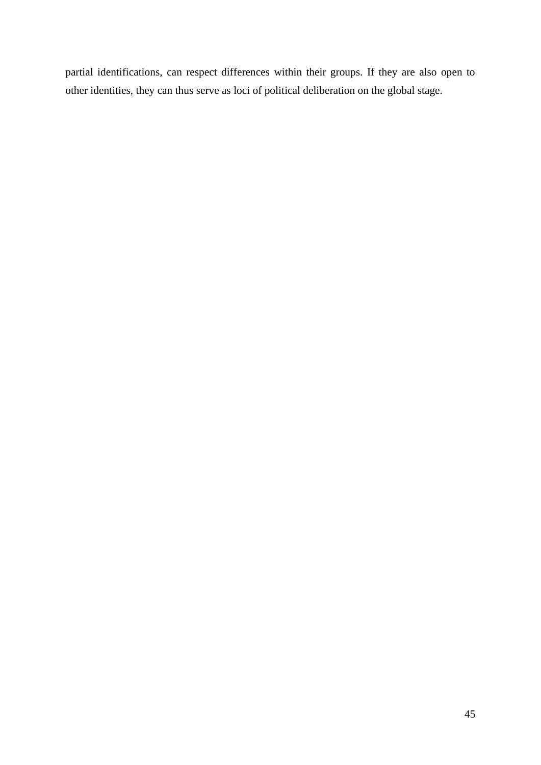partial identifications, can respect differences within their groups. If they are also open to other identities, they can thus serve as loci of political deliberation on the global stage.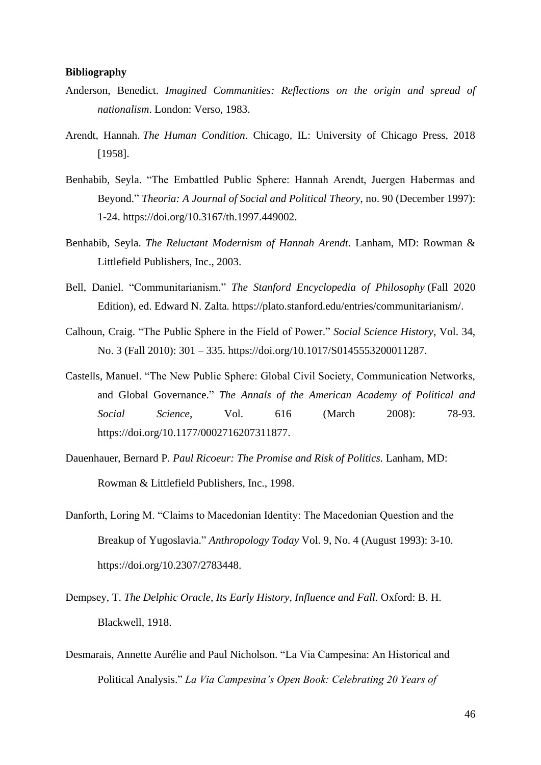### **Bibliography**

- Anderson, Benedict. *Imagined Communities: Reflections on the origin and spread of nationalism*. London: Verso, 1983.
- Arendt, Hannah. *The Human Condition*. Chicago, IL: University of Chicago Press, 2018 [1958].
- Benhabib, Seyla. "The Embattled Public Sphere: Hannah Arendt, Juergen Habermas and Beyond." *Theoria: A Journal of Social and Political Theory*, no. 90 (December 1997): 1-24. https://doi.org/10.3167/th.1997.449002.
- Benhabib, Seyla. *The Reluctant Modernism of Hannah Arendt.* Lanham, MD: Rowman & Littlefield Publishers, Inc., 2003.
- Bell, Daniel. "Communitarianism." *The Stanford Encyclopedia of Philosophy* (Fall 2020 Edition), ed. Edward N. Zalta. https://plato.stanford.edu/entries/communitarianism/.
- Calhoun, Craig. "The Public Sphere in the Field of Power." *Social Science History*, Vol. 34, No. 3 (Fall 2010): 301 – 335. https://doi.org/10.1017/S0145553200011287.
- Castells, Manuel. "The New Public Sphere: Global Civil Society, Communication Networks, and Global Governance." *The Annals of the American Academy of Political and Social Science*, Vol. 616 (March 2008): 78-93. https://doi.org/10.1177/0002716207311877.
- Dauenhauer, Bernard P. *Paul Ricoeur: The Promise and Risk of Politics.* Lanham, MD: Rowman & Littlefield Publishers, Inc., 1998.
- Danforth, Loring M. "Claims to Macedonian Identity: The Macedonian Question and the Breakup of Yugoslavia." *Anthropology Today* Vol. 9, No. 4 (August 1993): 3-10. https://doi.org/10.2307/2783448.
- Dempsey, T. *The Delphic Oracle, Its Early History, Influence and Fall.* Oxford: B. H. Blackwell, 1918.
- Desmarais, Annette Aurélie and Paul Nicholson. "La Via Campesina: An Historical and Political Analysis." *La Via Campesina's Open Book: Celebrating 20 Years of*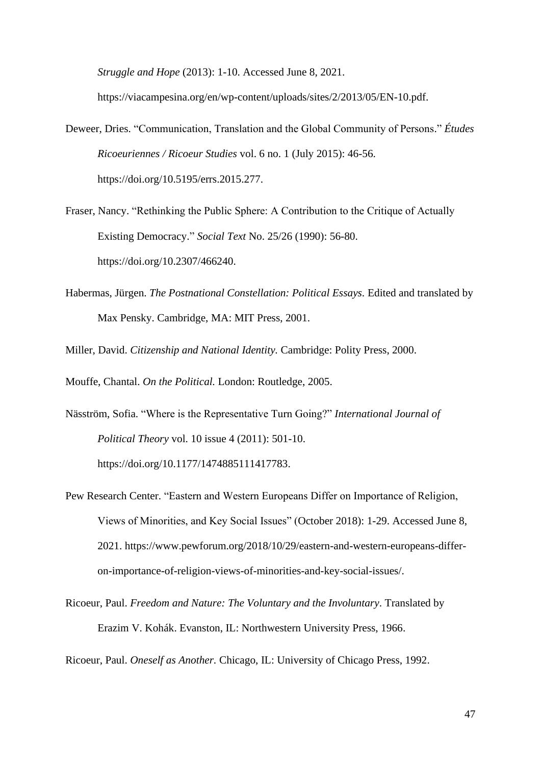*Struggle and Hope* (2013): 1-10. Accessed June 8, 2021.

https://viacampesina.org/en/wp-content/uploads/sites/2/2013/05/EN-10.pdf.

Deweer, Dries. "Communication, Translation and the Global Community of Persons." *Études Ricoeuriennes / Ricoeur Studies* vol. 6 no. 1 (July 2015): 46-56. https://doi.org/10.5195/errs.2015.277.

Fraser, Nancy. "Rethinking the Public Sphere: A Contribution to the Critique of Actually Existing Democracy." *Social Text* No. 25/26 (1990): 56-80. https://doi.org/10.2307/466240.

Habermas, Jürgen. *The Postnational Constellation: Political Essays.* Edited and translated by Max Pensky. Cambridge, MA: MIT Press, 2001.

Miller, David. *Citizenship and National Identity.* Cambridge: Polity Press, 2000.

Mouffe, Chantal. *On the Political.* London: Routledge, 2005.

Näsström, Sofia. "Where is the Representative Turn Going?" *International Journal of Political Theory* vol. 10 issue 4 (2011): 501-10. https://doi.org/10.1177/1474885111417783.

Pew Research Center. "Eastern and Western Europeans Differ on Importance of Religion, Views of Minorities, and Key Social Issues" (October 2018): 1-29. Accessed June 8, 2021. https://www.pewforum.org/2018/10/29/eastern-and-western-europeans-differon-importance-of-religion-views-of-minorities-and-key-social-issues/.

Ricoeur, Paul. *Freedom and Nature: The Voluntary and the Involuntary*. Translated by Erazim V. Kohák. Evanston, IL: Northwestern University Press, 1966.

Ricoeur, Paul. *Oneself as Another.* Chicago, IL: University of Chicago Press, 1992.